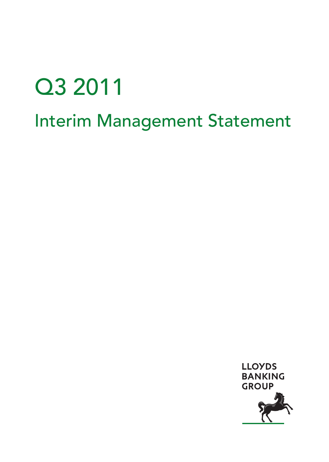# Q3 2011 Interim Management Statement

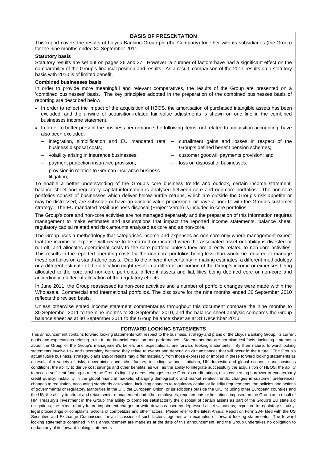#### **BASIS OF PRESENTATION**

This report covers the results of Lloyds Banking Group plc (the Company) together with its subsidiaries (the Group) for the nine months ended 30 September 2011.

#### **Statutory basis**

Statutory results are set out on pages 26 and 27. However, a number of factors have had a significant effect on the comparability of the Group's financial position and results. As a result, comparison of the 2011 results on a statutory basis with 2010 is of limited benefit.

#### **Combined businesses basis**

In order to provide more meaningful and relevant comparatives, the results of the Group are presented on a 'combined businesses' basis. The key principles adopted in the preparation of the combined businesses basis of reporting are described below.

- In order to reflect the impact of the acquisition of HBOS, the amortisation of purchased intangible assets has been excluded; and the unwind of acquisition-related fair value adjustments is shown on one line in the combined businesses income statement.
- In order to better present the business performance the following items, not related to acquisition accounting, have also been excluded:
	- integration, simplification and EU mandated retail curtailment gains and losses in respect of the business disposal costs; Group's defined benefit pension schemes;
	- volatility arising in insurance businesses;
- customer goodwill payments provision; and
- payment protection insurance provision;
- 
- loss on disposal of businesses.
- provision in relation to German insurance business litigation;

To enable a better understanding of the Group's core business trends and outlook, certain income statement, balance sheet and regulatory capital information is analysed between core and non-core portfolios. The non-core portfolios consist of businesses which deliver below-hurdle returns, which are outside the Group's risk appetite or may be distressed, are subscale or have an unclear value proposition, or have a poor fit with the Group's customer strategy. The EU mandated retail business disposal (Project Verde) is included in core portfolios.

The Group's core and non-core activities are not managed separately and the preparation of this information requires management to make estimates and assumptions that impact the reported income statements, balance sheet, regulatory capital related and risk amounts analysed as core and as non-core.

The Group uses a methodology that categorises income and expenses as non-core only where management expect that the income or expense will cease to be earned or incurred when the associated asset or liability is divested or run-off, and allocates operational costs to the core portfolio unless they are directly related to non-core activities. This results in the reported operating costs for the non-core portfolios being less than would be required to manage these portfolios on a stand-alone basis. Due to the inherent uncertainty in making estimates, a different methodology or a different estimate of the allocation might result in a different proportion of the Group's income or expenses being allocated to the core and non-core portfolios, different assets and liabilities being deemed core or non-core and accordingly a different allocation of the regulatory effects.

In June 2011, the Group reassessed its non-core activities and a number of portfolio changes were made within the Wholesale, Commercial and International portfolios. The disclosure for the nine months ended 30 September 2010 reflects the revised basis.

Unless otherwise stated income statement commentaries throughout this document compare the nine months to 30 September 2011 to the nine months to 30 September 2010, and the balance sheet analysis compares the Group balance sheet as at 30 September 2011 to the Group balance sheet as at 31 December 2010.

#### **FORWARD LOOKING STATEMENTS**

This announcement contains forward looking statements with respect to the business, strategy and plans of the Lloyds Banking Group, its current goals and expectations relating to its future financial condition and performance. Statements that are not historical facts, including statements about the Group or the Group's management's beliefs and expectations, are forward looking statements. By their nature, forward looking statements involve risk and uncertainty because they relate to events and depend on circumstances that will occur in the future. The Group's actual future business, strategy, plans and/or results may differ materially from those expressed or implied in these forward looking statements as a result of a variety of risks, uncertainties and other factors, including, without limitation, UK domestic and global economic and business conditions; the ability to derive cost savings and other benefits, as well as the ability to integrate successfully the acquisition of HBOS; the ability to access sufficient funding to meet the Group's liquidity needs; changes to the Group's credit ratings; risks concerning borrower or counterparty credit quality; instability in the global financial markets; changing demographic and market related trends; changes in customer preferences; changes to regulation, accounting standards or taxation, including changes to regulatory capital or liquidity requirements; the policies and actions of governmental or regulatory authorities in the UK, the European Union, or jurisdictions outside the UK, including other European countries and the US; the ability to attract and retain senior management and other employees; requirements or limitations imposed on the Group as a result of HM Treasury's investment in the Group; the ability to complete satisfactorily the disposal of certain assets as part of the Group's EU state aid obligations; the extent of any future impairment charges or write-downs caused by depressed asset valuations; exposure to regulatory scrutiny, legal proceedings or complaints, actions of competitors and other factors. Please refer to the latest Annual Report on Form 20-F filed with the US Securities and Exchange Commission for a discussion of such factors together with examples of forward looking statements. The forward looking statements contained in this announcement are made as at the date of this announcement, and the Group undertakes no obligation to update any of its forward looking statements.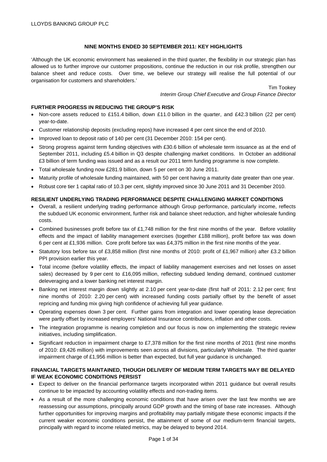# **NINE MONTHS ENDED 30 SEPTEMBER 2011: KEY HIGHLIGHTS**

'Although the UK economic environment has weakened in the third quarter, the flexibility in our strategic plan has allowed us to further improve our customer propositions, continue the reduction in our risk profile, strengthen our balance sheet and reduce costs. Over time, we believe our strategy will realise the full potential of our organisation for customers and shareholders.'

> Tim Tookey *Interim Group Chief Executive and Group Finance Director*

# **FURTHER PROGRESS IN REDUCING THE GROUP'S RISK**

- Non-core assets reduced to £151.4 billion, down £11.0 billion in the quarter, and £42.3 billion (22 per cent) year-to-date.
- Customer relationship deposits (excluding repos) have increased 4 per cent since the end of 2010.
- Improved loan to deposit ratio of 140 per cent (31 December 2010: 154 per cent).
- Strong progress against term funding objectives with £30.6 billion of wholesale term issuance as at the end of September 2011, including £5.4 billion in Q3 despite challenging market conditions. In October an additional £3 billion of term funding was issued and as a result our 2011 term funding programme is now complete.
- Total wholesale funding now £281.9 billion, down 5 per cent on 30 June 2011.
- Maturity profile of wholesale funding maintained, with 50 per cent having a maturity date greater than one year.
- Robust core tier 1 capital ratio of 10.3 per cent, slightly improved since 30 June 2011 and 31 December 2010.

# **RESILIENT UNDERLYING TRADING PERFORMANCE DESPITE CHALLENGING MARKET CONDITIONS**

- Overall, a resilient underlying trading performance although Group performance, particularly income, reflects the subdued UK economic environment, further risk and balance sheet reduction, and higher wholesale funding costs.
- Combined businesses profit before tax of £1,748 million for the first nine months of the year. Before volatility effects and the impact of liability management exercises (together £188 million), profit before tax was down 6 per cent at £1,936 million. Core profit before tax was £4,375 million in the first nine months of the year.
- Statutory loss before tax of £3,858 million (first nine months of 2010: profit of £1,967 million) after £3.2 billion PPI provision earlier this year.
- Total income (before volatility effects, the impact of liability management exercises and net losses on asset sales) decreased by 9 per cent to £16,095 million, reflecting subdued lending demand, continued customer deleveraging and a lower banking net interest margin.
- Banking net interest margin down slightly at 2.10 per cent year-to-date (first half of 2011: 2.12 per cent; first nine months of 2010: 2.20 per cent) with increased funding costs partially offset by the benefit of asset repricing and funding mix giving high confidence of achieving full year guidance.
- Operating expenses down 3 per cent. Further gains from integration and lower operating lease depreciation were partly offset by increased employers' National Insurance contributions, inflation and other costs.
- The integration programme is nearing completion and our focus is now on implementing the strategic review initiatives, including simplification.
- Significant reduction in impairment charge to £7,378 million for the first nine months of 2011 (first nine months of 2010: £9,426 million) with improvements seen across all divisions, particularly Wholesale. The third quarter impairment charge of £1,956 million is better than expected, but full year guidance is unchanged.

# **FINANCIAL TARGETS MAINTAINED, THOUGH DELIVERY OF MEDIUM TERM TARGETS MAY BE DELAYED IF WEAK ECONOMIC CONDITIONS PERSIST**

- Expect to deliver on the financial performance targets incorporated within 2011 guidance but overall results continue to be impacted by accounting volatility effects and non-trading items.
- As a result of the more challenging economic conditions that have arisen over the last few months we are reassessing our assumptions, principally around GDP growth and the timing of base rate increases. Although further opportunities for improving margins and profitability may partially mitigate these economic impacts if the current weaker economic conditions persist, the attainment of some of our medium-term financial targets, principally with regard to income related metrics, may be delayed to beyond 2014.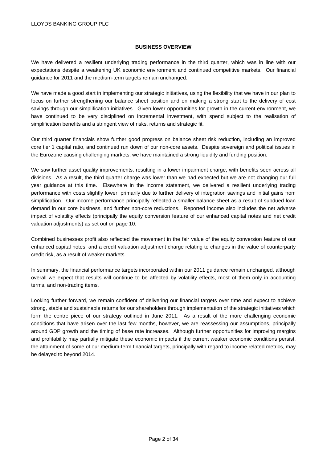## **BUSINESS OVERVIEW**

We have delivered a resilient underlying trading performance in the third quarter, which was in line with our expectations despite a weakening UK economic environment and continued competitive markets. Our financial guidance for 2011 and the medium-term targets remain unchanged.

We have made a good start in implementing our strategic initiatives, using the flexibility that we have in our plan to focus on further strengthening our balance sheet position and on making a strong start to the delivery of cost savings through our simplification initiatives. Given lower opportunities for growth in the current environment, we have continued to be very disciplined on incremental investment, with spend subject to the realisation of simplification benefits and a stringent view of risks, returns and strategic fit.

Our third quarter financials show further good progress on balance sheet risk reduction, including an improved core tier 1 capital ratio, and continued run down of our non-core assets. Despite sovereign and political issues in the Eurozone causing challenging markets, we have maintained a strong liquidity and funding position.

We saw further asset quality improvements, resulting in a lower impairment charge, with benefits seen across all divisions. As a result, the third quarter charge was lower than we had expected but we are not changing our full year guidance at this time. Elsewhere in the income statement, we delivered a resilient underlying trading performance with costs slightly lower, primarily due to further delivery of integration savings and initial gains from simplification. Our income performance principally reflected a smaller balance sheet as a result of subdued loan demand in our core business, and further non-core reductions. Reported income also includes the net adverse impact of volatility effects (principally the equity conversion feature of our enhanced capital notes and net credit valuation adjustments) as set out on page 10.

Combined businesses profit also reflected the movement in the fair value of the equity conversion feature of our enhanced capital notes, and a credit valuation adjustment charge relating to changes in the value of counterparty credit risk, as a result of weaker markets.

In summary, the financial performance targets incorporated within our 2011 guidance remain unchanged, although overall we expect that results will continue to be affected by volatility effects, most of them only in accounting terms, and non-trading items.

Looking further forward, we remain confident of delivering our financial targets over time and expect to achieve strong, stable and sustainable returns for our shareholders through implementation of the strategic initiatives which form the centre piece of our strategy outlined in June 2011. As a result of the more challenging economic conditions that have arisen over the last few months, however, we are reassessing our assumptions, principally around GDP growth and the timing of base rate increases. Although further opportunities for improving margins and profitability may partially mitigate these economic impacts if the current weaker economic conditions persist, the attainment of some of our medium-term financial targets, principally with regard to income related metrics, may be delayed to beyond 2014.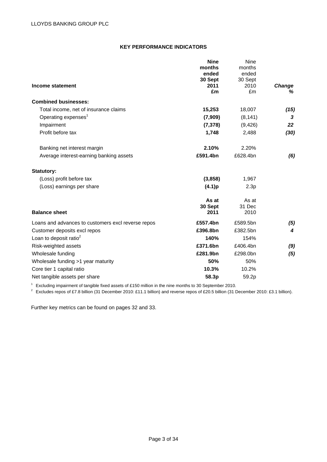# **KEY PERFORMANCE INDICATORS**

|                                                    | <b>Nine</b> | Nine     |               |
|----------------------------------------------------|-------------|----------|---------------|
|                                                    | months      | months   |               |
|                                                    | ended       | ended    |               |
|                                                    | 30 Sept     | 30 Sept  |               |
| Income statement                                   | 2011        | 2010     | <b>Change</b> |
|                                                    | £m          | £m       | ℅             |
| <b>Combined businesses:</b>                        |             |          |               |
| Total income, net of insurance claims              | 15,253      | 18,007   | (15)          |
| Operating expenses <sup>1</sup>                    | (7,909)     | (8, 141) | 3             |
| Impairment                                         | (7, 378)    | (9, 426) | 22            |
| Profit before tax                                  | 1,748       | 2,488    | (30)          |
| Banking net interest margin                        | 2.10%       | 2.20%    |               |
| Average interest-earning banking assets            | £591.4bn    | £628.4bn | (6)           |
| <b>Statutory:</b>                                  |             |          |               |
| (Loss) profit before tax                           | (3,858)     | 1,967    |               |
| (Loss) earnings per share                          | (4.1)p      | 2.3p     |               |
|                                                    | As at       | As at    |               |
|                                                    | 30 Sept     | 31 Dec   |               |
| <b>Balance sheet</b>                               | 2011        | 2010     |               |
| Loans and advances to customers excl reverse repos | £557.4bn    | £589.5bn | (5)           |
| Customer deposits excl repos                       | £396.8bn    | £382.5bn | 4             |
| Loan to deposit ratio $2$                          | 140%        | 154%     |               |
| Risk-weighted assets                               | £371.6bn    | £406.4bn | (9)           |
| Wholesale funding                                  | £281.9bn    | £298.0bn | (5)           |
| Wholesale funding >1 year maturity                 | 50%         | 50%      |               |
| Core tier 1 capital ratio                          | 10.3%       | 10.2%    |               |
| Net tangible assets per share                      | 58.3p       | 59.2p    |               |

<sup>1</sup> Excluding impairment of tangible fixed assets of £150 million in the nine months to 30 September 2010.<br><sup>2</sup> Excludes repos of £7.8 billion (31 December 2010: £11.1 billion) and reverse repos of £20.5 billion (31 Decemb

Further key metrics can be found on pages 32 and 33.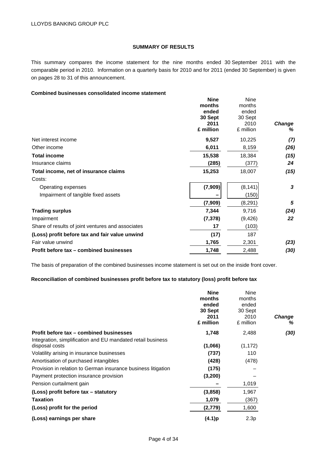# **SUMMARY OF RESULTS**

This summary compares the income statement for the nine months ended 30 September 2011 with the comparable period in 2010. Information on a quarterly basis for 2010 and for 2011 (ended 30 September) is given on pages 28 to 31 of this announcement.

# **Combined businesses consolidated income statement**

|                                                   | <b>Nine</b> | Nine      |        |
|---------------------------------------------------|-------------|-----------|--------|
|                                                   | months      | months    |        |
|                                                   | ended       | ended     |        |
|                                                   | 30 Sept     | 30 Sept   |        |
|                                                   | 2011        | 2010      | Change |
|                                                   | £ million   | £ million | %      |
| Net interest income                               | 9,527       | 10,225    | (7)    |
| Other income                                      | 6,011       | 8,159     | (26)   |
| <b>Total income</b>                               | 15,538      | 18,384    | (15)   |
| Insurance claims                                  | (285)       | (377)     | 24     |
| Total income, net of insurance claims             | 15,253      | 18,007    | (15)   |
| Costs:                                            |             |           |        |
| Operating expenses                                | (7,909)     | (8, 141)  | 3      |
| Impairment of tangible fixed assets               |             | (150)     |        |
|                                                   | (7,909)     | (8,291)   | 5      |
| <b>Trading surplus</b>                            | 7,344       | 9,716     | (24)   |
| Impairment                                        | (7, 378)    | (9, 426)  | 22     |
| Share of results of joint ventures and associates | 17          | (103)     |        |
| (Loss) profit before tax and fair value unwind    | (17)        | 187       |        |
| Fair value unwind                                 | 1,765       | 2,301     | (23)   |
| Profit before tax - combined businesses           | 1,748       | 2,488     | (30)   |

The basis of preparation of the combined businesses income statement is set out on the inside front cover.

# **Reconciliation of combined businesses profit before tax to statutory (loss) profit before tax**

|                                                                               | <b>Nine</b><br>months<br>ended<br>30 Sept<br>2011<br>£ million | Nine<br>months<br>ended<br>30 Sept<br>2010<br>£ million | <b>Change</b><br>% |
|-------------------------------------------------------------------------------|----------------------------------------------------------------|---------------------------------------------------------|--------------------|
| Profit before tax – combined businesses                                       | 1,748                                                          | 2,488                                                   | (30)               |
| Integration, simplification and EU mandated retail business<br>disposal costs | (1,066)                                                        | (1, 172)                                                |                    |
| Volatility arising in insurance businesses                                    | (737)                                                          | 110                                                     |                    |
| Amortisation of purchased intangibles                                         | (428)                                                          | (478)                                                   |                    |
| Provision in relation to German insurance business litigation                 | (175)                                                          |                                                         |                    |
| Payment protection insurance provision                                        | (3,200)                                                        |                                                         |                    |
| Pension curtailment gain                                                      |                                                                | 1,019                                                   |                    |
| (Loss) profit before tax – statutory                                          | (3,858)                                                        | 1,967                                                   |                    |
| <b>Taxation</b>                                                               | 1,079                                                          | (367)                                                   |                    |
| (Loss) profit for the period                                                  | (2,779)                                                        | 1,600                                                   |                    |
| (Loss) earnings per share                                                     | (4.1)p                                                         | 2.3p                                                    |                    |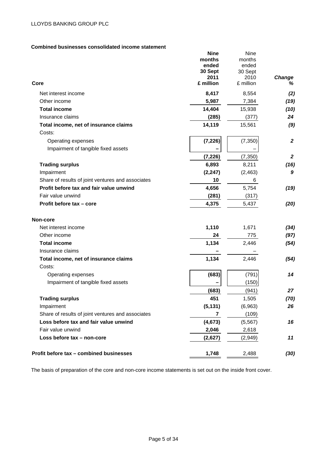# **Combined businesses consolidated income statement**

| aaca conaonuuc<br>Core                            | <b>Nine</b><br>months<br>ended<br>30 Sept<br>2011<br>£ million | Nine<br>months<br>ended<br>30 Sept<br>2010<br>£ million | Change<br>℅      |
|---------------------------------------------------|----------------------------------------------------------------|---------------------------------------------------------|------------------|
|                                                   |                                                                |                                                         |                  |
| Net interest income                               | 8,417                                                          | 8,554                                                   | (2)              |
| Other income                                      | 5,987                                                          | 7,384                                                   | (19)             |
| <b>Total income</b>                               | 14,404                                                         | 15,938                                                  | (10)             |
| Insurance claims                                  | (285)                                                          | (377)                                                   | 24               |
| Total income, net of insurance claims             | 14,119                                                         | 15,561                                                  | (9)              |
| Costs:                                            |                                                                |                                                         |                  |
| Operating expenses                                | (7, 226)                                                       | (7, 350)                                                | $\boldsymbol{2}$ |
| Impairment of tangible fixed assets               |                                                                |                                                         |                  |
|                                                   | (7, 226)                                                       | (7, 350)                                                | $\overline{2}$   |
| <b>Trading surplus</b>                            | 6,893                                                          | 8,211                                                   | (16)             |
| Impairment                                        | (2, 247)                                                       | (2, 463)                                                | 9                |
| Share of results of joint ventures and associates | 10                                                             | 6                                                       |                  |
| Profit before tax and fair value unwind           | 4,656                                                          | 5,754                                                   | (19)             |
| Fair value unwind                                 | (281)                                                          | (317)                                                   |                  |
| Profit before tax - core                          | 4,375                                                          | 5,437                                                   | (20)             |
| Non-core                                          |                                                                |                                                         |                  |
| Net interest income                               | 1,110                                                          | 1,671                                                   | (34)             |
| Other income                                      | 24                                                             | 775                                                     | (97)             |
| <b>Total income</b>                               | 1,134                                                          | 2,446                                                   | (54)             |
| Insurance claims                                  |                                                                |                                                         |                  |
| Total income, net of insurance claims             | 1,134                                                          | 2,446                                                   | (54)             |
| Costs:                                            |                                                                |                                                         |                  |
| Operating expenses                                | (683)                                                          | (791)                                                   | 14               |
| Impairment of tangible fixed assets               |                                                                | (150)                                                   |                  |
|                                                   | (683)                                                          | (941)                                                   | 27               |
| <b>Trading surplus</b>                            | 451                                                            | 1,505                                                   | (70)             |
| Impairment                                        | (5, 131)                                                       | (6,963)                                                 | 26               |
| Share of results of joint ventures and associates | $\overline{7}$                                                 | (109)                                                   |                  |
| Loss before tax and fair value unwind             | (4, 673)                                                       | (5, 567)                                                | 16               |
| Fair value unwind                                 | 2,046                                                          | 2,618                                                   |                  |
| Loss before tax - non-core                        | (2,627)                                                        | (2,949)                                                 | 11               |
| Profit before tax - combined businesses           | 1,748                                                          | 2,488                                                   | (30)             |

The basis of preparation of the core and non-core income statements is set out on the inside front cover.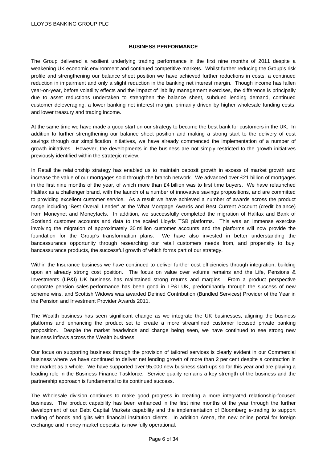### **BUSINESS PERFORMANCE**

The Group delivered a resilient underlying trading performance in the first nine months of 2011 despite a weakening UK economic environment and continued competitive markets. Whilst further reducing the Group's risk profile and strengthening our balance sheet position we have achieved further reductions in costs, a continued reduction in impairment and only a slight reduction in the banking net interest margin. Though income has fallen year-on-year, before volatility effects and the impact of liability management exercises, the difference is principally due to asset reductions undertaken to strengthen the balance sheet, subdued lending demand, continued customer deleveraging, a lower banking net interest margin, primarily driven by higher wholesale funding costs, and lower treasury and trading income.

At the same time we have made a good start on our strategy to become the best bank for customers in the UK. In addition to further strengthening our balance sheet position and making a strong start to the delivery of cost savings through our simplification initiatives, we have already commenced the implementation of a number of growth initiatives. However, the developments in the business are not simply restricted to the growth initiatives previously identified within the strategic review.

In Retail the relationship strategy has enabled us to maintain deposit growth in excess of market growth and increase the value of our mortgages sold through the branch network. We advanced over £21 billion of mortgages in the first nine months of the year, of which more than £4 billion was to first time buyers. We have relaunched Halifax as a challenger brand, with the launch of a number of innovative savings propositions, and are committed to providing excellent customer service. As a result we have achieved a number of awards across the product range including 'Best Overall Lender' at the What Mortgage Awards and Best Current Account (credit balance) from Moneynet and Moneyfacts. In addition, we successfully completed the migration of Halifax and Bank of Scotland customer accounts and data to the scaled Lloyds TSB platforms. This was an immense exercise involving the migration of approximately 30 million customer accounts and the platforms will now provide the foundation for the Group's transformation plans. We have also invested in better understanding the bancassurance opportunity through researching our retail customers needs from, and propensity to buy, bancassurance products, the successful growth of which forms part of our strategy.

Within the Insurance business we have continued to deliver further cost efficiencies through integration, building upon an already strong cost position. The focus on value over volume remains and the Life, Pensions & Investments (LP&I) UK business has maintained strong returns and margins. From a product perspective corporate pension sales performance has been good in LP&I UK, predominantly through the success of new scheme wins, and Scottish Widows was awarded Defined Contribution (Bundled Services) Provider of the Year in the Pension and Investment Provider Awards 2011.

The Wealth business has seen significant change as we integrate the UK businesses, aligning the business platforms and enhancing the product set to create a more streamlined customer focused private banking proposition. Despite the market headwinds and change being seen, we have continued to see strong new business inflows across the Wealth business.

Our focus on supporting business through the provision of tailored services is clearly evident in our Commercial business where we have continued to deliver net lending growth of more than 2 per cent despite a contraction in the market as a whole. We have supported over 95,000 new business start-ups so far this year and are playing a leading role in the Business Finance Taskforce. Service quality remains a key strength of the business and the partnership approach is fundamental to its continued success.

The Wholesale division continues to make good progress in creating a more integrated relationship-focused business. The product capability has been enhanced in the first nine months of the year through the further development of our Debt Capital Markets capability and the implementation of Bloomberg e-trading to support trading of bonds and gilts with financial institution clients. In addition Arena, the new online portal for foreign exchange and money market deposits, is now fully operational.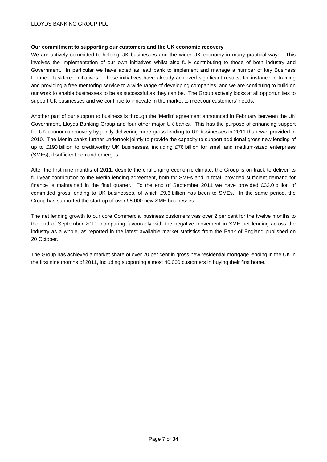## LLOYDS BANKING GROUP PLC

#### **Our commitment to supporting our customers and the UK economic recovery**

We are actively committed to helping UK businesses and the wider UK economy in many practical ways. This involves the implementation of our own initiatives whilst also fully contributing to those of both industry and Government. In particular we have acted as lead bank to implement and manage a number of key Business Finance Taskforce initiatives. These initiatives have already achieved significant results, for instance in training and providing a free mentoring service to a wide range of developing companies, and we are continuing to build on our work to enable businesses to be as successful as they can be. The Group actively looks at all opportunities to support UK businesses and we continue to innovate in the market to meet our customers' needs.

Another part of our support to business is through the 'Merlin' agreement announced in February between the UK Government, Lloyds Banking Group and four other major UK banks. This has the purpose of enhancing support for UK economic recovery by jointly delivering more gross lending to UK businesses in 2011 than was provided in 2010. The Merlin banks further undertook jointly to provide the capacity to support additional gross new lending of up to £190 billion to creditworthy UK businesses, including £76 billion for small and medium-sized enterprises (SMEs), if sufficient demand emerges.

After the first nine months of 2011, despite the challenging economic climate, the Group is on track to deliver its full year contribution to the Merlin lending agreement, both for SMEs and in total, provided sufficient demand for finance is maintained in the final quarter. To the end of September 2011 we have provided £32.0 billion of committed gross lending to UK businesses, of which £9.6 billion has been to SMEs. In the same period, the Group has supported the start-up of over 95,000 new SME businesses.

The net lending growth to our core Commercial business customers was over 2 per cent for the twelve months to the end of September 2011, comparing favourably with the negative movement in SME net lending across the industry as a whole, as reported in the latest available market statistics from the Bank of England published on 20 October.

The Group has achieved a market share of over 20 per cent in gross new residential mortgage lending in the UK in the first nine months of 2011, including supporting almost 40,000 customers in buying their first home.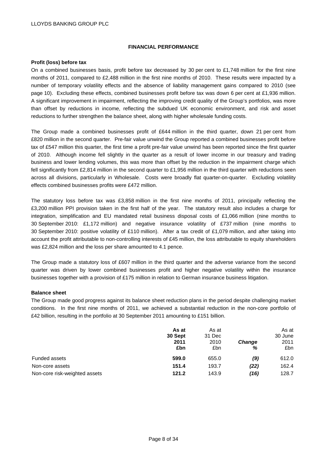### **FINANCIAL PERFORMANCE**

## **Profit (loss) before tax**

On a combined businesses basis, profit before tax decreased by 30 per cent to £1,748 million for the first nine months of 2011, compared to £2,488 million in the first nine months of 2010. These results were impacted by a number of temporary volatility effects and the absence of liability management gains compared to 2010 (see page 10). Excluding these effects, combined businesses profit before tax was down 6 per cent at £1,936 million. A significant improvement in impairment, reflecting the improving credit quality of the Group's portfolios, was more than offset by reductions in income, reflecting the subdued UK economic environment, and risk and asset reductions to further strengthen the balance sheet, along with higher wholesale funding costs.

The Group made a combined businesses profit of £644 million in the third quarter, down 21 per cent from £820 million in the second quarter. Pre-fair value unwind the Group reported a combined businesses profit before tax of £547 million this quarter, the first time a profit pre-fair value unwind has been reported since the first quarter of 2010. Although income fell slightly in the quarter as a result of lower income in our treasury and trading business and lower lending volumes, this was more than offset by the reduction in the impairment charge which fell significantly from £2,814 million in the second quarter to £1,956 million in the third quarter with reductions seen across all divisions, particularly in Wholesale. Costs were broadly flat quarter-on-quarter. Excluding volatility effects combined businesses profits were £472 million.

The statutory loss before tax was £3,858 million in the first nine months of 2011, principally reflecting the £3,200 million PPI provision taken in the first half of the year. The statutory result also includes a charge for integration, simplification and EU mandated retail business disposal costs of £1,066 million (nine months to 30 September 2010: £1,172 million) and negative insurance volatility of £737 million (nine months to 30 September 2010: positive volatility of £110 million). After a tax credit of £1,079 million, and after taking into account the profit attributable to non-controlling interests of £45 million, the loss attributable to equity shareholders was £2,824 million and the loss per share amounted to 4.1 pence.

The Group made a statutory loss of £607 million in the third quarter and the adverse variance from the second quarter was driven by lower combined businesses profit and higher negative volatility within the insurance businesses together with a provision of £175 million in relation to German insurance business litigation.

#### **Balance sheet**

The Group made good progress against its balance sheet reduction plans in the period despite challenging market conditions. In the first nine months of 2011, we achieved a substantial reduction in the non-core portfolio of £42 billion, resulting in the portfolio at 30 September 2011 amounting to £151 billion.

|                               | As at<br>30 Sept<br>2011<br>£bn | As at<br>31 Dec<br>2010<br>£bn | <b>Change</b><br>% | As at<br>30 June<br>2011<br>£bn |
|-------------------------------|---------------------------------|--------------------------------|--------------------|---------------------------------|
| Funded assets                 | 599.0                           | 655.0                          | (9)                | 612.0                           |
| Non-core assets               | 151.4                           | 193.7                          | (22)               | 162.4                           |
| Non-core risk-weighted assets | 121.2                           | 143.9                          | (16)               | 128.7                           |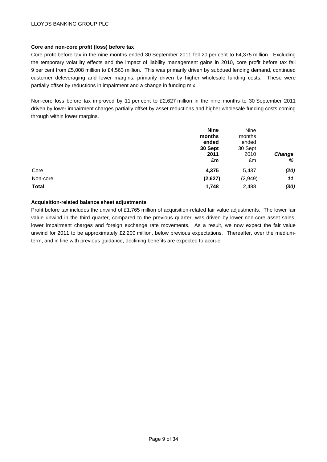# **Core and non-core profit (loss) before tax**

Core profit before tax in the nine months ended 30 September 2011 fell 20 per cent to £4,375 million. Excluding the temporary volatility effects and the impact of liability management gains in 2010, core profit before tax fell 9 per cent from £5,008 million to £4,563 million. This was primarily driven by subdued lending demand, continued customer deleveraging and lower margins, primarily driven by higher wholesale funding costs. These were partially offset by reductions in impairment and a change in funding mix.

Non-core loss before tax improved by 11 per cent to £2,627 million in the nine months to 30 September 2011 driven by lower impairment charges partially offset by asset reductions and higher wholesale funding costs coming through within lower margins.

| <b>Nine</b> | Nine    |               |
|-------------|---------|---------------|
| months      | months  |               |
| ended       | ended   |               |
| 30 Sept     | 30 Sept |               |
| 2011        | 2010    | <b>Change</b> |
| £m          | £m      | $\%$          |
| 4,375       | 5,437   | (20)          |
| (2,627)     | (2,949) | 11            |
| 1,748       | 2,488   | (30)          |
|             |         |               |

## **Acquisition-related balance sheet adjustments**

Profit before tax includes the unwind of £1,765 million of acquisition-related fair value adjustments. The lower fair value unwind in the third quarter, compared to the previous quarter, was driven by lower non-core asset sales, lower impairment charges and foreign exchange rate movements. As a result, we now expect the fair value unwind for 2011 to be approximately £2,200 million, below previous expectations. Thereafter, over the mediumterm, and in line with previous guidance, declining benefits are expected to accrue.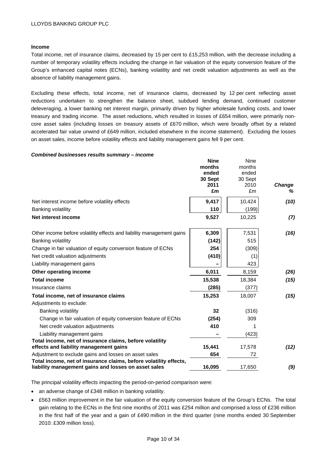## **Income**

Total income, net of insurance claims, decreased by 15 per cent to £15,253 million, with the decrease including a number of temporary volatility effects including the change in fair valuation of the equity conversion feature of the Group's enhanced capital notes (ECNs), banking volatility and net credit valuation adjustments as well as the absence of liability management gains.

Excluding these effects, total income, net of insurance claims, decreased by 12 per cent reflecting asset reductions undertaken to strengthen the balance sheet, subdued lending demand, continued customer deleveraging, a lower banking net interest margin, primarily driven by higher wholesale funding costs, and lower treasury and trading income. The asset reductions, which resulted in losses of £654 million, were primarily noncore asset sales (including losses on treasury assets of £670 million, which were broadly offset by a related accelerated fair value unwind of £649 million, included elsewhere in the income statement). Excluding the losses on asset sales, income before volatility effects and liability management gains fell 9 per cent.

#### *Combined businesses results summary – income*

|                                                                                                                           | <b>Nine</b><br>months<br>ended<br>30 Sept<br>2011<br>£m | <b>Nine</b><br>months<br>ended<br>30 Sept<br>2010<br>£m | Change<br>℅ |
|---------------------------------------------------------------------------------------------------------------------------|---------------------------------------------------------|---------------------------------------------------------|-------------|
| Net interest income before volatility effects                                                                             | 9,417                                                   | 10,424                                                  | (10)        |
| <b>Banking volatility</b>                                                                                                 | 110                                                     | (199)                                                   |             |
| Net interest income                                                                                                       | 9,527                                                   | 10,225                                                  | (7)         |
| Other income before volatility effects and liability management gains                                                     | 6,309                                                   | 7,531                                                   | (16)        |
| <b>Banking volatility</b>                                                                                                 | (142)                                                   | 515                                                     |             |
| Change in fair valuation of equity conversion feature of ECNs                                                             | 254                                                     | (309)                                                   |             |
| Net credit valuation adjustments                                                                                          | (410)                                                   | (1)                                                     |             |
| Liability management gains                                                                                                |                                                         | 423                                                     |             |
| Other operating income                                                                                                    | 6,011                                                   | 8,159                                                   | (26)        |
| <b>Total income</b>                                                                                                       | 15,538                                                  | 18,384                                                  | (15)        |
| Insurance claims                                                                                                          | (285)                                                   | (377)                                                   |             |
| Total income, net of insurance claims                                                                                     | 15,253                                                  | 18,007                                                  | (15)        |
| Adjustments to exclude:                                                                                                   |                                                         |                                                         |             |
| Banking volatility                                                                                                        | 32                                                      | (316)                                                   |             |
| Change in fair valuation of equity conversion feature of ECNs                                                             | (254)                                                   | 309                                                     |             |
| Net credit valuation adjustments                                                                                          | 410                                                     |                                                         |             |
| Liability management gains                                                                                                |                                                         | (423)                                                   |             |
| Total income, net of insurance claims, before volatility<br>effects and liability management gains                        | 15,441                                                  | 17,578                                                  | (12)        |
| Adjustment to exclude gains and losses on asset sales                                                                     | 654                                                     | 72                                                      |             |
| Total income, net of insurance claims, before volatility effects,<br>liability management gains and losses on asset sales | 16,095                                                  | 17,650                                                  | (9)         |

The principal volatility effects impacting the period-on-period comparison were:

- an adverse change of £348 million in banking volatility.
- £563 million improvement in the fair valuation of the equity conversion feature of the Group's ECNs. The total gain relating to the ECNs in the first nine months of 2011 was £254 million and comprised a loss of £236 million in the first half of the year and a gain of £490 million in the third quarter (nine months ended 30 September 2010: £309 million loss).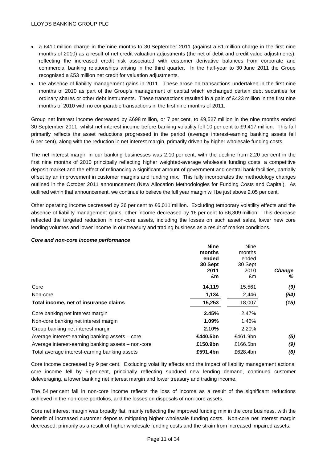- a £410 million charge in the nine months to 30 September 2011 (against a £1 million charge in the first nine months of 2010) as a result of net credit valuation adjustments (the net of debit and credit value adjustments), reflecting the increased credit risk associated with customer derivative balances from corporate and commercial banking relationships arising in the third quarter. In the half-year to 30 June 2011 the Group recognised a £53 million net credit for valuation adjustments.
- the absence of liability management gains in 2011. These arose on transactions undertaken in the first nine months of 2010 as part of the Group's management of capital which exchanged certain debt securities for ordinary shares or other debt instruments. These transactions resulted in a gain of £423 million in the first nine months of 2010 with no comparable transactions in the first nine months of 2011.

Group net interest income decreased by £698 million, or 7 per cent, to £9,527 million in the nine months ended 30 September 2011, whilst net interest income before banking volatility fell 10 per cent to £9,417 million. This fall primarily reflects the asset reductions progressed in the period (average interest-earning banking assets fell 6 per cent), along with the reduction in net interest margin, primarily driven by higher wholesale funding costs.

The net interest margin in our banking businesses was 2.10 per cent, with the decline from 2.20 per cent in the first nine months of 2010 principally reflecting higher weighted-average wholesale funding costs, a competitive deposit market and the effect of refinancing a significant amount of government and central bank facilities, partially offset by an improvement in customer margins and funding mix. This fully incorporates the methodology changes outlined in the October 2011 announcement (New Allocation Methodologies for Funding Costs and Capital). As outlined within that announcement, we continue to believe the full year margin will be just above 2.05 per cent.

Other operating income decreased by 26 per cent to £6,011 million. Excluding temporary volatility effects and the absence of liability management gains, other income decreased by 16 per cent to £6,309 million. This decrease reflected the targeted reduction in non-core assets, including the losses on such asset sales, lower new core lending volumes and lower income in our treasury and trading business as a result of market conditions.

| <b>Nine</b> | <b>Nine</b> |               |
|-------------|-------------|---------------|
| months      | months      |               |
| ended       | ended       |               |
| 30 Sept     | 30 Sept     |               |
| 2011        | 2010        | <b>Change</b> |
| £m          | £m          | ℅             |
| 14,119      | 15,561      | (9)           |
| 1,134       | 2,446       | (54)          |
| 15,253      | 18,007      | (15)          |
| 2.45%       | 2.47%       |               |
| 1.09%       | 1.46%       |               |
| 2.10%       | 2.20%       |               |
| £440.5bn    | £461.9bn    | (5)           |
| £150.9bn    | £166.5bn    | (9)           |
| £591.4bn    | £628.4bn    | (6)           |
|             |             |               |

#### *Core and non-core income performance*

Core income decreased by 9 per cent. Excluding volatility effects and the impact of liability management actions, core income fell by 5 per cent, principally reflecting subdued new lending demand, continued customer deleveraging, a lower banking net interest margin and lower treasury and trading income.

The 54 per cent fall in non-core income reflects the loss of income as a result of the significant reductions achieved in the non-core portfolios, and the losses on disposals of non-core assets.

Core net interest margin was broadly flat, mainly reflecting the improved funding mix in the core business, with the benefit of increased customer deposits mitigating higher wholesale funding costs. Non-core net interest margin decreased, primarily as a result of higher wholesale funding costs and the strain from increased impaired assets.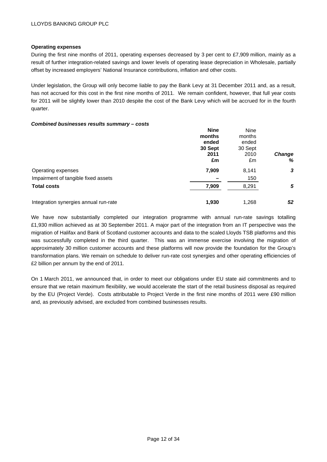### **Operating expenses**

During the first nine months of 2011, operating expenses decreased by 3 per cent to £7,909 million, mainly as a result of further integration-related savings and lower levels of operating lease depreciation in Wholesale, partially offset by increased employers' National Insurance contributions, inflation and other costs.

Under legislation, the Group will only become liable to pay the Bank Levy at 31 December 2011 and, as a result, has not accrued for this cost in the first nine months of 2011. We remain confident, however, that full year costs for 2011 will be slightly lower than 2010 despite the cost of the Bank Levy which will be accrued for in the fourth quarter.

#### *Combined businesses results summary – costs*

|                                       | <b>Nine</b> | <b>Nine</b> |               |
|---------------------------------------|-------------|-------------|---------------|
|                                       | months      | months      |               |
|                                       | ended       | ended       |               |
|                                       | 30 Sept     | 30 Sept     |               |
|                                       | 2011        | 2010        | <b>Change</b> |
|                                       | £m          | £m          | %             |
| Operating expenses                    | 7,909       | 8,141       | 3             |
| Impairment of tangible fixed assets   |             | 150         |               |
| <b>Total costs</b>                    | 7,909       | 8,291       | 5             |
| Integration synergies annual run-rate | 1,930       | 1.268       | 52            |

We have now substantially completed our integration programme with annual run-rate savings totalling £1,930 million achieved as at 30 September 2011. A major part of the integration from an IT perspective was the migration of Halifax and Bank of Scotland customer accounts and data to the scaled Lloyds TSB platforms and this was successfully completed in the third quarter. This was an immense exercise involving the migration of approximately 30 million customer accounts and these platforms will now provide the foundation for the Group's transformation plans. We remain on schedule to deliver run-rate cost synergies and other operating efficiencies of £2 billion per annum by the end of 2011.

On 1 March 2011, we announced that, in order to meet our obligations under EU state aid commitments and to ensure that we retain maximum flexibility, we would accelerate the start of the retail business disposal as required by the EU (Project Verde). Costs attributable to Project Verde in the first nine months of 2011 were £90 million and, as previously advised, are excluded from combined businesses results.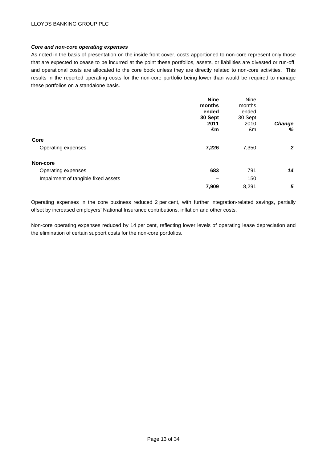## *Core and non-core operating expenses*

As noted in the basis of presentation on the inside front cover, costs apportioned to non-core represent only those that are expected to cease to be incurred at the point these portfolios, assets, or liabilities are divested or run-off, and operational costs are allocated to the core book unless they are directly related to non-core activities. This results in the reported operating costs for the non-core portfolio being lower than would be required to manage these portfolios on a standalone basis.

|                                     | <b>Nine</b><br>months<br>ended | <b>Nine</b><br>months<br>ended |              |
|-------------------------------------|--------------------------------|--------------------------------|--------------|
|                                     | 30 Sept<br>2011                | 30 Sept<br>2010                |              |
|                                     | £m                             | £m                             | Change<br>%  |
| Core                                |                                |                                |              |
| Operating expenses                  | 7,226                          | 7,350                          | $\mathbf{2}$ |
| Non-core                            |                                |                                |              |
| Operating expenses                  | 683                            | 791                            | 14           |
| Impairment of tangible fixed assets | -                              | 150                            |              |
|                                     | 7,909                          | 8,291                          | 5            |

Operating expenses in the core business reduced 2 per cent, with further integration-related savings, partially offset by increased employers' National Insurance contributions, inflation and other costs.

Non-core operating expenses reduced by 14 per cent, reflecting lower levels of operating lease depreciation and the elimination of certain support costs for the non-core portfolios.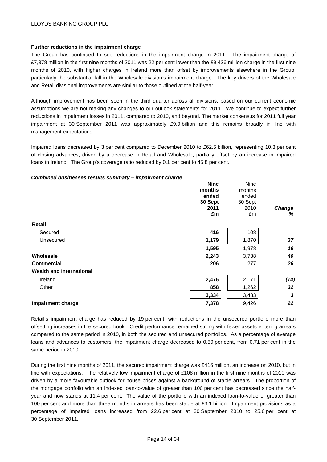### **Further reductions in the impairment charge**

The Group has continued to see reductions in the impairment charge in 2011. The impairment charge of £7,378 million in the first nine months of 2011 was 22 per cent lower than the £9,426 million charge in the first nine months of 2010, with higher charges in Ireland more than offset by improvements elsewhere in the Group, particularly the substantial fall in the Wholesale division's impairment charge. The key drivers of the Wholesale and Retail divisional improvements are similar to those outlined at the half-year.

Although improvement has been seen in the third quarter across all divisions, based on our current economic assumptions we are not making any changes to our outlook statements for 2011. We continue to expect further reductions in impairment losses in 2011, compared to 2010, and beyond. The market consensus for 2011 full year impairment at 30 September 2011 was approximately £9.9 billion and this remains broadly in line with management expectations.

Impaired loans decreased by 3 per cent compared to December 2010 to £62.5 billion, representing 10.3 per cent of closing advances, driven by a decrease in Retail and Wholesale, partially offset by an increase in impaired loans in Ireland. The Group's coverage ratio reduced by 0.1 per cent to 45.8 per cent.

#### *Combined businesses results summary – impairment charge*

|                                 | <b>Nine</b> | Nine    |               |
|---------------------------------|-------------|---------|---------------|
|                                 | months      | months  |               |
|                                 | ended       | ended   |               |
|                                 | 30 Sept     | 30 Sept |               |
|                                 | 2011        | 2010    | <b>Change</b> |
|                                 | £m          | £m      | %             |
| Retail                          |             |         |               |
| Secured                         | 416         | 108     |               |
| Unsecured                       | 1,179       | 1,870   | 37            |
|                                 | 1,595       | 1,978   | 19            |
| Wholesale                       | 2,243       | 3,738   | 40            |
| <b>Commercial</b>               | 206         | 277     | 26            |
| <b>Wealth and International</b> |             |         |               |
| Ireland                         | 2,476       | 2,171   | (14)          |
| Other                           | 858         | 1,262   | 32            |
|                                 | 3,334       | 3,433   | 3             |
| <b>Impairment charge</b>        | 7,378       | 9,426   | 22            |
|                                 |             |         |               |

Retail's impairment charge has reduced by 19 per cent, with reductions in the unsecured portfolio more than offsetting increases in the secured book. Credit performance remained strong with fewer assets entering arrears compared to the same period in 2010, in both the secured and unsecured portfolios. As a percentage of average loans and advances to customers, the impairment charge decreased to 0.59 per cent, from 0.71 per cent in the same period in 2010.

During the first nine months of 2011, the secured impairment charge was £416 million, an increase on 2010, but in line with expectations. The relatively low impairment charge of £108 million in the first nine months of 2010 was driven by a more favourable outlook for house prices against a background of stable arrears. The proportion of the mortgage portfolio with an indexed loan-to-value of greater than 100 per cent has decreased since the halfyear and now stands at 11.4 per cent. The value of the portfolio with an indexed loan-to-value of greater than 100 per cent and more than three months in arrears has been stable at £3.1 billion. Impairment provisions as a percentage of impaired loans increased from 22.6 per cent at 30 September 2010 to 25.6 per cent at 30 September 2011.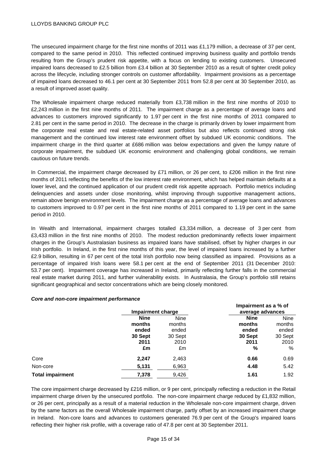## LLOYDS BANKING GROUP PLC

The unsecured impairment charge for the first nine months of 2011 was £1,179 million, a decrease of 37 per cent, compared to the same period in 2010. This reflected continued improving business quality and portfolio trends resulting from the Group's prudent risk appetite, with a focus on lending to existing customers. Unsecured impaired loans decreased to £2.5 billion from £3.4 billion at 30 September 2010 as a result of tighter credit policy across the lifecycle, including stronger controls on customer affordability. Impairment provisions as a percentage of impaired loans decreased to 46.1 per cent at 30 September 2011 from 52.8 per cent at 30 September 2010, as a result of improved asset quality.

The Wholesale impairment charge reduced materially from £3,738 million in the first nine months of 2010 to £2,243 million in the first nine months of 2011. The impairment charge as a percentage of average loans and advances to customers improved significantly to 1.97 per cent in the first nine months of 2011 compared to 2.81 per cent in the same period in 2010. The decrease in the charge is primarily driven by lower impairment from the corporate real estate and real estate-related asset portfolios but also reflects continued strong risk management and the continued low interest rate environment offset by subdued UK economic conditions. The impairment charge in the third quarter at £686 million was below expectations and given the lumpy nature of corporate impairment, the subdued UK economic environment and challenging global conditions, we remain cautious on future trends.

In Commercial, the impairment charge decreased by £71 million, or 26 per cent, to £206 million in the first nine months of 2011 reflecting the benefits of the low interest rate environment, which has helped maintain defaults at a lower level, and the continued application of our prudent credit risk appetite approach. Portfolio metrics including delinquencies and assets under close monitoring, whilst improving through supportive management actions, remain above benign environment levels.The impairment charge as a percentage of average loans and advances to customers improved to 0.97 per cent in the first nine months of 2011 compared to 1.19 per cent in the same period in 2010.

In Wealth and International, impairment charges totalled £3,334 million, a decrease of 3 per cent from £3,433 million in the first nine months of 2010. The modest reduction predominantly reflects lower impairment charges in the Group's Australasian business as impaired loans have stabilised, offset by higher charges in our Irish portfolio. In Ireland, in the first nine months of this year, the level of impaired loans increased by a further £2.9 billion, resulting in 67 per cent of the total Irish portfolio now being classified as impaired. Provisions as a percentage of impaired Irish loans were 58.1 per cent at the end of September 2011 (31 December 2010: 53.7 per cent). Impairment coverage has increased in Ireland, primarily reflecting further falls in the commercial real estate market during 2011, and further vulnerability exists. In Australasia, the Group's portfolio still retains significant geographical and sector concentrations which are being closely monitored.

#### *Core and non-core impairment performance*

|                         | Impairment charge |             | Impairment as a % of<br>average advances |             |
|-------------------------|-------------------|-------------|------------------------------------------|-------------|
|                         | <b>Nine</b>       | <b>Nine</b> | <b>Nine</b>                              | <b>Nine</b> |
|                         | months            | months      | months                                   | months      |
|                         | ended             | ended       | ended                                    | ended       |
|                         | 30 Sept           | 30 Sept     | 30 Sept                                  | 30 Sept     |
|                         | 2011              | 2010        | 2011                                     | 2010        |
|                         | £m                | £m          | %                                        | $\%$        |
| Core                    | 2,247             | 2,463       | 0.66                                     | 0.69        |
| Non-core                | 5,131             | 6,963       | 4.48                                     | 5.42        |
| <b>Total impairment</b> | 7,378             | 9,426       | 1.61                                     | 1.92        |

The core impairment charge decreased by £216 million, or 9 per cent, principally reflecting a reduction in the Retail impairment charge driven by the unsecured portfolio. The non-core impairment charge reduced by £1,832 million, or 26 per cent, principally as a result of a material reduction in the Wholesale non-core impairment charge, driven by the same factors as the overall Wholesale impairment charge, partly offset by an increased impairment charge in Ireland. Non-core loans and advances to customers generated 76.9 per cent of the Group's impaired loans reflecting their higher risk profile, with a coverage ratio of 47.8 per cent at 30 September 2011.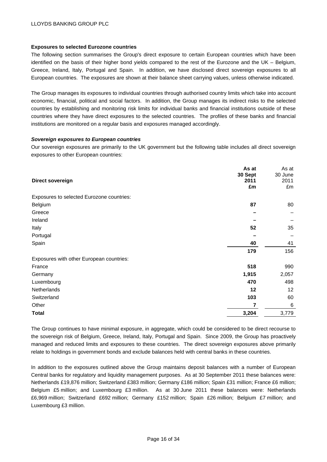### **Exposures to selected Eurozone countries**

The following section summarises the Group's direct exposure to certain European countries which have been identified on the basis of their higher bond yields compared to the rest of the Eurozone and the UK – Belgium, Greece, Ireland, Italy, Portugal and Spain. In addition, we have disclosed direct sovereign exposures to all European countries. The exposures are shown at their balance sheet carrying values, unless otherwise indicated.

The Group manages its exposures to individual countries through authorised country limits which take into account economic, financial, political and social factors. In addition, the Group manages its indirect risks to the selected countries by establishing and monitoring risk limits for individual banks and financial institutions outside of these countries where they have direct exposures to the selected countries. The profiles of these banks and financial institutions are monitored on a regular basis and exposures managed accordingly.

#### *Sovereign exposures to European countries*

Our sovereign exposures are primarily to the UK government but the following table includes all direct sovereign exposures to other European countries:

| Direct sovereign                          | As at<br>30 Sept<br>2011<br>£m | As at<br>30 June<br>2011<br>£m |
|-------------------------------------------|--------------------------------|--------------------------------|
| Exposures to selected Eurozone countries: |                                |                                |
| Belgium                                   | 87                             | 80                             |
| Greece                                    |                                |                                |
| Ireland                                   |                                |                                |
| Italy                                     | 52                             | 35                             |
| Portugal                                  |                                |                                |
| Spain                                     | 40                             | 41                             |
|                                           | 179                            | 156                            |
| Exposures with other European countries:  |                                |                                |
| France                                    | 518                            | 990                            |
| Germany                                   | 1,915                          | 2,057                          |
| Luxembourg                                | 470                            | 498                            |
| Netherlands                               | 12                             | $12 \overline{ }$              |
| Switzerland                               | 103                            | 60                             |
| Other                                     | 7                              | 6                              |
| <b>Total</b>                              | 3,204                          | 3,779                          |

The Group continues to have minimal exposure, in aggregate, which could be considered to be direct recourse to the sovereign risk of Belgium, Greece, Ireland, Italy, Portugal and Spain. Since 2009, the Group has proactively managed and reduced limits and exposures to these countries. The direct sovereign exposures above primarily relate to holdings in government bonds and exclude balances held with central banks in these countries.

In addition to the exposures outlined above the Group maintains deposit balances with a number of European Central banks for regulatory and liquidity management purposes. As at 30 September 2011 these balances were: Netherlands £19,876 million; Switzerland £383 million; Germany £186 million; Spain £31 million; France £6 million; Belgium £5 million; and Luxembourg £3 million. As at 30 June 2011 these balances were: Netherlands £6,969 million; Switzerland £692 million; Germany £152 million; Spain £26 million; Belgium £7 million; and Luxembourg £3 million.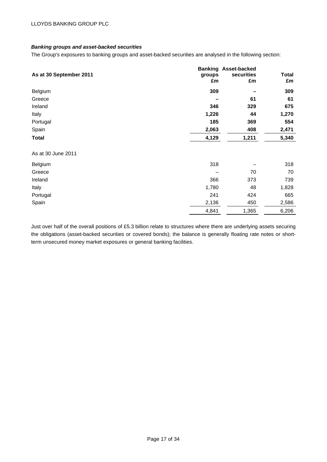# *Banking groups and asset-backed securities*

The Group's exposures to banking groups and asset-backed securities are analysed in the following section:

|                         |        | <b>Banking Asset-backed</b> |       |
|-------------------------|--------|-----------------------------|-------|
| As at 30 September 2011 | groups | securities                  | Total |
|                         | £m     | £m                          | £m    |
| Belgium                 | 309    |                             | 309   |
| Greece                  |        | 61                          | 61    |
| Ireland                 | 346    | 329                         | 675   |
| Italy                   | 1,226  | 44                          | 1,270 |
| Portugal                | 185    | 369                         | 554   |
| Spain                   | 2,063  | 408                         | 2,471 |
| Total                   | 4,129  | 1,211                       | 5,340 |
| As at 30 June 2011      |        |                             |       |
| Belgium                 | 318    |                             | 318   |
| Greece                  |        | 70                          | 70    |
| Ireland                 | 366    | 373                         | 739   |
| Italy                   | 1,780  | 48                          | 1,828 |
| Portugal                | 241    | 424                         | 665   |
| Spain                   | 2,136  | 450                         | 2,586 |
|                         | 4,841  | 1,365                       | 6,206 |

Just over half of the overall positions of £5.3 billion relate to structures where there are underlying assets securing the obligations (asset-backed securities or covered bonds); the balance is generally floating rate notes or shortterm unsecured money market exposures or general banking facilities.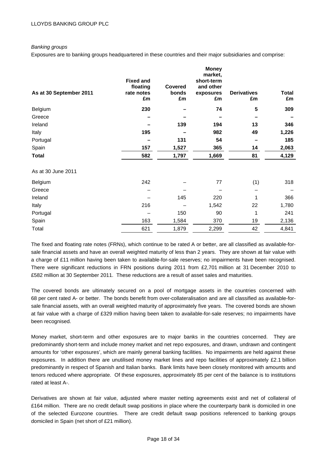# *Banking groups*

Exposures are to banking groups headquartered in these countries and their major subsidiaries and comprise:

|                         | <b>Fixed and</b>             |                               | <b>Money</b><br>market,<br>short-term |                          |                    |
|-------------------------|------------------------------|-------------------------------|---------------------------------------|--------------------------|--------------------|
| As at 30 September 2011 | floating<br>rate notes<br>£m | <b>Covered</b><br>bonds<br>£m | and other<br>exposures<br>£m          | <b>Derivatives</b><br>£m | <b>Total</b><br>£m |
| Belgium                 | 230                          |                               | 74                                    | 5                        | 309                |
| Greece                  |                              |                               |                                       |                          |                    |
| Ireland                 |                              | 139                           | 194                                   | 13                       | 346                |
| Italy                   | 195                          |                               | 982                                   | 49                       | 1,226              |
| Portugal                |                              | 131                           | 54                                    |                          | 185                |
| Spain                   | 157                          | 1,527                         | 365                                   | 14                       | 2,063              |
| <b>Total</b>            | 582                          | 1,797                         | 1,669                                 | 81                       | 4,129              |
| As at 30 June 2011      |                              |                               |                                       |                          |                    |
| Belgium                 | 242                          |                               | 77                                    | (1)                      | 318                |
| Greece                  |                              |                               |                                       |                          |                    |
| Ireland                 |                              | 145                           | 220                                   | 1                        | 366                |
| Italy                   | 216                          |                               | 1,542                                 | 22                       | 1,780              |
| Portugal                |                              | 150                           | 90                                    | 1                        | 241                |
| Spain                   | 163                          | 1,584                         | 370                                   | 19                       | 2,136              |
| Total                   | 621                          | 1,879                         | 2,299                                 | 42                       | 4,841              |

The fixed and floating rate notes (FRNs), which continue to be rated A or better, are all classified as available-forsale financial assets and have an overall weighted maturity of less than 2 years. They are shown at fair value with a charge of £11 million having been taken to available-for-sale reserves; no impairments have been recognised. There were significant reductions in FRN positions during 2011 from £2,701 million at 31 December 2010 to £582 million at 30 September 2011. These reductions are a result of asset sales and maturities.

The covered bonds are ultimately secured on a pool of mortgage assets in the countries concerned with 68 per cent rated A- or better. The bonds benefit from over-collateralisation and are all classified as available-forsale financial assets, with an overall weighted maturity of approximately five years. The covered bonds are shown at fair value with a charge of £329 million having been taken to available-for-sale reserves; no impairments have been recognised.

Money market, short-term and other exposures are to major banks in the countries concerned. They are predominantly short-term and include money market and net repo exposures, and drawn, undrawn and contingent amounts for 'other exposures', which are mainly general banking facilities. No impairments are held against these exposures. In addition there are unutilised money market lines and repo facilities of approximately £2.1 billion predominantly in respect of Spanish and Italian banks. Bank limits have been closely monitored with amounts and tenors reduced where appropriate. Of these exposures, approximately 85 per cent of the balance is to institutions rated at least A-.

Derivatives are shown at fair value, adjusted where master netting agreements exist and net of collateral of £164 million. There are no credit default swap positions in place where the counterparty bank is domiciled in one of the selected Eurozone countries. There are credit default swap positions referenced to banking groups domiciled in Spain (net short of £21 million).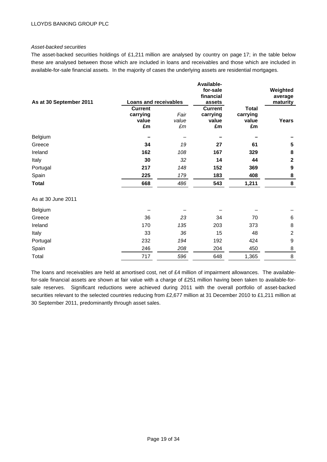## *Asset-backed securities*

The asset-backed securities holdings of £1,211 million are analysed by country on page 17; in the table below these are analysed between those which are included in loans and receivables and those which are included in available-for-sale financial assets. In the majority of cases the underlying assets are residential mortgages.

|                         |                              |             | Available-<br>for-sale |              | Weighted         |
|-------------------------|------------------------------|-------------|------------------------|--------------|------------------|
|                         |                              |             | financial              |              | average          |
| As at 30 September 2011 | <b>Loans and receivables</b> |             | assets                 |              | maturity         |
|                         | <b>Current</b>               |             | <b>Current</b>         | <b>Total</b> |                  |
|                         | carrying                     | Fair        | carrying               | carrying     |                  |
|                         | value                        | value       | value                  | value        | Years            |
|                         | £m                           | $\pounds m$ | £m                     | £m           |                  |
| Belgium                 |                              |             |                        |              |                  |
| Greece                  | 34                           | 19          | 27                     | 61           | 5                |
| Ireland                 | 162                          | 108         | 167                    | 329          | 8                |
| Italy                   | 30                           | 32          | 14                     | 44           | $\mathbf{2}$     |
| Portugal                | 217                          | 148         | 152                    | 369          | 9                |
| Spain                   | 225                          | 179         | 183                    | 408          | 8                |
| <b>Total</b>            | 668                          | 486         | 543                    | 1,211        | 8                |
| As at 30 June 2011      |                              |             |                        |              |                  |
| Belgium                 |                              |             |                        |              |                  |
| Greece                  | 36                           | 23          | 34                     | 70           | 6                |
| Ireland                 | 170                          | 135         | 203                    | 373          | 8                |
| Italy                   | 33                           | 36          | 15                     | 48           | $\boldsymbol{2}$ |
| Portugal                | 232                          | 194         | 192                    | 424          | $\boldsymbol{9}$ |
| Spain                   | 246                          | 208         | 204                    | 450          | 8                |
| Total                   | 717                          | 596         | 648                    | 1,365        | 8                |

The loans and receivables are held at amortised cost, net of £4 million of impairment allowances. The availablefor-sale financial assets are shown at fair value with a charge of £251 million having been taken to available-forsale reserves. Significant reductions were achieved during 2011 with the overall portfolio of asset-backed securities relevant to the selected countries reducing from £2,677 million at 31 December 2010 to £1,211 million at 30 September 2011, predominantly through asset sales.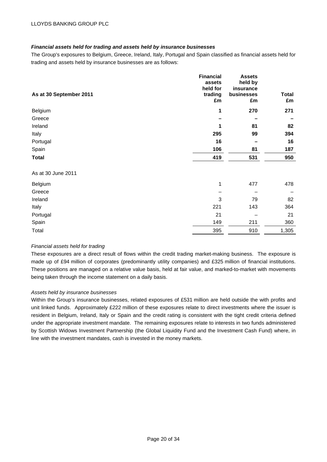# *Financial assets held for trading and assets held by insurance businesses*

The Group's exposures to Belgium, Greece, Ireland, Italy, Portugal and Spain classified as financial assets held for trading and assets held by insurance businesses are as follows:

|                         | <b>Financial</b> | <b>Assets</b> |              |
|-------------------------|------------------|---------------|--------------|
|                         | assets           | held by       |              |
|                         | held for         | insurance     |              |
| As at 30 September 2011 | trading          | businesses    | <b>Total</b> |
|                         | £m               | £m            | £m           |
| Belgium                 | 1                | 270           | 271          |
| Greece                  |                  |               |              |
| Ireland                 | 1                | 81            | 82           |
| Italy                   | 295              | 99            | 394          |
| Portugal                | 16               |               | 16           |
| Spain                   | 106              | 81            | 187          |
| <b>Total</b>            | 419              | 531           | 950          |
|                         |                  |               |              |
| As at 30 June 2011      |                  |               |              |
| Belgium                 | 1                | 477           | 478          |
| Greece                  |                  |               |              |
| Ireland                 | 3                | 79            | 82           |
| Italy                   | 221              | 143           | 364          |
| Portugal                | 21               |               | 21           |
| Spain                   | 149              | 211           | 360          |
| Total                   | 395              | 910           | 1,305        |

# *Financial assets held for trading*

These exposures are a direct result of flows within the credit trading market-making business. The exposure is made up of £94 million of corporates (predominantly utility companies) and £325 million of financial institutions. These positions are managed on a relative value basis, held at fair value, and marked-to-market with movements being taken through the income statement on a daily basis.

#### *Assets held by insurance businesses*

Within the Group's insurance businesses, related exposures of £531 million are held outside the with profits and unit linked funds. Approximately £222 million of these exposures relate to direct investments where the issuer is resident in Belgium, Ireland, Italy or Spain and the credit rating is consistent with the tight credit criteria defined under the appropriate investment mandate. The remaining exposures relate to interests in two funds administered by Scottish Widows Investment Partnership (the Global Liquidity Fund and the Investment Cash Fund) where, in line with the investment mandates, cash is invested in the money markets.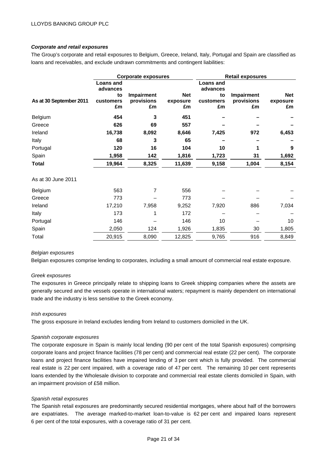# *Corporate and retail exposures*

The Group's corporate and retail exposures to Belgium, Greece, Ireland, Italy, Portugal and Spain are classified as loans and receivables, and exclude undrawn commitments and contingent liabilities:

|                         | <b>Corporate exposures</b>   |                   | <b>Retail exposures</b> |                       |                   |          |
|-------------------------|------------------------------|-------------------|-------------------------|-----------------------|-------------------|----------|
|                         | <b>Loans and</b><br>advances |                   |                         | Loans and<br>advances |                   |          |
|                         | to                           | <b>Impairment</b> | <b>Net</b>              | to                    | <b>Impairment</b> | Net      |
| As at 30 September 2011 | customers                    | provisions        | exposure                | customers             | provisions        | exposure |
|                         | £m                           | £m                | £m                      | £m                    | £m                | £m       |
| Belgium                 | 454                          | 3                 | 451                     |                       |                   |          |
| Greece                  | 626                          | 69                | 557                     |                       |                   |          |
| Ireland                 | 16,738                       | 8,092             | 8,646                   | 7,425                 | 972               | 6,453    |
| Italy                   | 68                           | 3                 | 65                      |                       |                   |          |
| Portugal                | 120                          | 16                | 104                     | 10                    | 1                 | 9        |
| Spain                   | 1,958                        | 142               | 1,816                   | 1,723                 | 31                | 1,692    |
| <b>Total</b>            | 19,964                       | 8,325             | 11,639                  | 9,158                 | 1,004             | 8,154    |
| As at 30 June 2011      |                              |                   |                         |                       |                   |          |
| Belgium                 | 563                          | $\overline{7}$    | 556                     |                       |                   |          |
| Greece                  | 773                          |                   | 773                     |                       |                   |          |
| Ireland                 | 17,210                       | 7,958             | 9,252                   | 7,920                 | 886               | 7,034    |
| Italy                   | 173                          |                   | 172                     |                       |                   |          |
| Portugal                | 146                          |                   | 146                     | 10                    |                   | 10       |
| Spain                   | 2,050                        | 124               | 1,926                   | 1,835                 | 30                | 1,805    |
| Total                   | 20,915                       | 8,090             | 12,825                  | 9,765                 | 916               | 8,849    |

#### *Belgian exposures*

Belgian exposures comprise lending to corporates, including a small amount of commercial real estate exposure.

#### *Greek exposures*

The exposures in Greece principally relate to shipping loans to Greek shipping companies where the assets are generally secured and the vessels operate in international waters; repayment is mainly dependent on international trade and the industry is less sensitive to the Greek economy.

#### *Irish exposures*

The gross exposure in Ireland excludes lending from Ireland to customers domiciled in the UK.

#### *Spanish corporate exposures*

The corporate exposure in Spain is mainly local lending (90 per cent of the total Spanish exposures) comprising corporate loans and project finance facilities (78 per cent) and commercial real estate (22 per cent). The corporate loans and project finance facilities have impaired lending of 3 per cent which is fully provided. The commercial real estate is 22 per cent impaired, with a coverage ratio of 47 per cent. The remaining 10 per cent represents loans extended by the Wholesale division to corporate and commercial real estate clients domiciled in Spain, with an impairment provision of £58 million.

#### *Spanish retail exposures*

The Spanish retail exposures are predominantly secured residential mortgages, where about half of the borrowers are expatriates. The average marked-to-market loan-to-value is 62 per cent and impaired loans represent 6 per cent of the total exposures, with a coverage ratio of 31 per cent.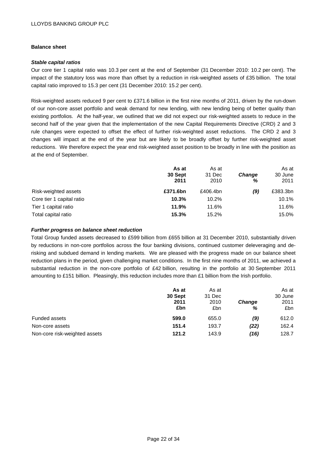# **Balance sheet**

## *Stable capital ratios*

Our core tier 1 capital ratio was 10.3 per cent at the end of September (31 December 2010: 10.2 per cent). The impact of the statutory loss was more than offset by a reduction in risk-weighted assets of £35 billion. The total capital ratio improved to 15.3 per cent (31 December 2010: 15.2 per cent).

Risk-weighted assets reduced 9 per cent to £371.6 billion in the first nine months of 2011, driven by the run-down of our non-core asset portfolio and weak demand for new lending, with new lending being of better quality than existing portfolios. At the half-year, we outlined that we did not expect our risk-weighted assets to reduce in the second half of the year given that the implementation of the new Capital Requirements Directive (CRD) 2 and 3 rule changes were expected to offset the effect of further risk-weighted asset reductions. The CRD 2 and 3 changes will impact at the end of the year but are likely to be broadly offset by further risk-weighted asset reductions. We therefore expect the year end risk-weighted asset position to be broadly in line with the position as at the end of September.

|                           | As at<br>30 Sept<br>2011 | As at<br>31 Dec<br>2010 | <b>Change</b><br>% | As at<br>30 June<br>2011 |
|---------------------------|--------------------------|-------------------------|--------------------|--------------------------|
| Risk-weighted assets      | £371.6bn                 | £406.4bn                | (9)                | £383.3bn                 |
| Core tier 1 capital ratio | 10.3%                    | 10.2%                   |                    | 10.1%                    |
| Tier 1 capital ratio      | 11.9%                    | 11.6%                   |                    | 11.6%                    |
| Total capital ratio       | 15.3%                    | 15.2%                   |                    | 15.0%                    |

# *Further progress on balance sheet reduction*

Total Group funded assets decreased to £599 billion from £655 billion at 31 December 2010, substantially driven by reductions in non-core portfolios across the four banking divisions, continued customer deleveraging and derisking and subdued demand in lending markets. We are pleased with the progress made on our balance sheet reduction plans in the period, given challenging market conditions. In the first nine months of 2011, we achieved a substantial reduction in the non-core portfolio of £42 billion, resulting in the portfolio at 30 September 2011 amounting to £151 billion. Pleasingly, this reduction includes more than £1 billion from the Irish portfolio.

|                               | As at<br>30 Sept<br>2011<br>£bn | As at<br>31 Dec<br>2010<br>£bn | <b>Change</b><br>℅ | As at<br>30 June<br>2011<br>£bn |
|-------------------------------|---------------------------------|--------------------------------|--------------------|---------------------------------|
| Funded assets                 | 599.0                           | 655.0                          | (9)                | 612.0                           |
| Non-core assets               | 151.4                           | 193.7                          | (22)               | 162.4                           |
| Non-core risk-weighted assets | 121.2                           | 143.9                          | (16)               | 128.7                           |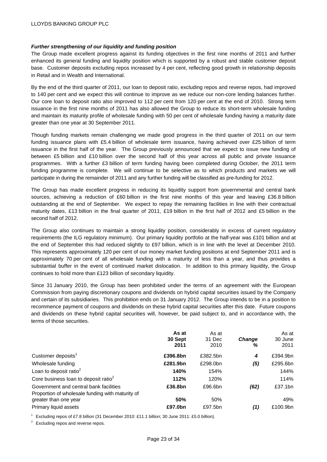# *Further strengthening of our liquidity and funding position*

The Group made excellent progress against its funding objectives in the first nine months of 2011 and further enhanced its general funding and liquidity position which is supported by a robust and stable customer deposit base. Customer deposits excluding repos increased by 4 per cent, reflecting good growth in relationship deposits in Retail and in Wealth and International.

By the end of the third quarter of 2011, our loan to deposit ratio, excluding repos and reverse repos, had improved to 140 per cent and we expect this will continue to improve as we reduce our non-core lending balances further. Our core loan to deposit ratio also improved to 112 per cent from 120 per cent at the end of 2010. Strong term issuance in the first nine months of 2011 has also allowed the Group to reduce its short-term wholesale funding and maintain its maturity profile of wholesale funding with 50 per cent of wholesale funding having a maturity date greater than one year at 30 September 2011.

Though funding markets remain challenging we made good progress in the third quarter of 2011 on our term funding issuance plans with £5.4 billion of wholesale term issuance, having achieved over £25 billion of term issuance in the first half of the year. The Group previously announced that we expect to issue new funding of between £5 billion and £10 billion over the second half of this year across all public and private issuance programmes. With a further £3 billion of term funding having been completed during October, the 2011 term funding programme is complete. We will continue to be selective as to which products and markets we will participate in during the remainder of 2011 and any further funding will be classified as pre-funding for 2012.

The Group has made excellent progress in reducing its liquidity support from governmental and central bank sources, achieving a reduction of £60 billion in the first nine months of this year and leaving £36.8 billion outstanding at the end of September. We expect to repay the remaining facilities in line with their contractual maturity dates, £13 billion in the final quarter of 2011, £19 billion in the first half of 2012 and £5 billion in the second half of 2012.

The Group also continues to maintain a strong liquidity position, considerably in excess of current regulatory requirements (the ILG regulatory minimum). Our primary liquidity portfolio at the half-year was £101 billion and at the end of September this had reduced slightly to £97 billion, which is in line with the level at December 2010. This represents approximately 120 per cent of our money market funding positions at end September 2011 and is approximately 70 per cent of all wholesale funding with a maturity of less than a year, and thus provides a substantial buffer in the event of continued market dislocation. In addition to this primary liquidity, the Group continues to hold more than £123 billion of secondary liquidity.

Since 31 January 2010, the Group has been prohibited under the terms of an agreement with the European Commission from paying discretionary coupons and dividends on hybrid capital securities issued by the Company and certain of its subsidiaries. This prohibition ends on 31 January 2012. The Group intends to be in a position to recommence payment of coupons and dividends on these hybrid capital securities after this date. Future coupons and dividends on these hybrid capital securities will, however, be paid subject to, and in accordance with, the terms of those securities.

|                                                                           | As at<br>30 Sept<br>2011 | As at<br>31 Dec<br>2010 | <b>Change</b><br>% | As at<br>30 June<br>2011 |
|---------------------------------------------------------------------------|--------------------------|-------------------------|--------------------|--------------------------|
| Customer deposits <sup>1</sup>                                            | £396.8bn                 | £382.5bn                | 4                  | £394.9bn                 |
| Wholesale funding                                                         | £281.9bn                 | £298.0bn                | (5)                | £295.6bn                 |
| Loan to deposit ratio $2$                                                 | 140%                     | 154%                    |                    | 144%                     |
| Core business loan to deposit ratio <sup>2</sup>                          | 112%                     | 120%                    |                    | 114%                     |
| Government and central bank facilities                                    | £36.8bn                  | £96.6bn                 | (62)               | £37.1bn                  |
| Proportion of wholesale funding with maturity of<br>greater than one year | 50%                      | 50%                     |                    | 49%                      |
| Primary liquid assets                                                     | £97.0bn                  | £97.5bn                 | (1)                | £100.9bn                 |

<sup>1</sup> Excluding repos of £7.8 billion (31 December 2010: £11.1 billion; 30 June 2011: £5.0 billion).

<sup>2</sup> Excluding repos and reverse repos.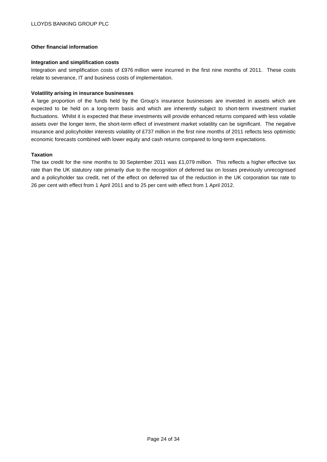# **Other financial information**

#### **Integration and simplification costs**

Integration and simplification costs of £976 million were incurred in the first nine months of 2011. These costs relate to severance, IT and business costs of implementation.

## **Volatility arising in insurance businesses**

A large proportion of the funds held by the Group's insurance businesses are invested in assets which are expected to be held on a long-term basis and which are inherently subject to short-term investment market fluctuations. Whilst it is expected that these investments will provide enhanced returns compared with less volatile assets over the longer term, the short-term effect of investment market volatility can be significant. The negative insurance and policyholder interests volatility of £737 million in the first nine months of 2011 reflects less optimistic economic forecasts combined with lower equity and cash returns compared to long-term expectations.

# **Taxation**

The tax credit for the nine months to 30 September 2011 was £1,079 million. This reflects a higher effective tax rate than the UK statutory rate primarily due to the recognition of deferred tax on losses previously unrecognised and a policyholder tax credit, net of the effect on deferred tax of the reduction in the UK corporation tax rate to 26 per cent with effect from 1 April 2011 and to 25 per cent with effect from 1 April 2012.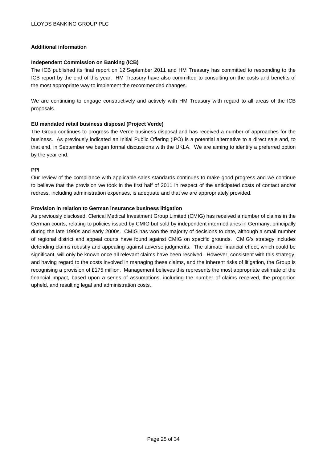# **Additional information**

#### **Independent Commission on Banking (ICB)**

The ICB published its final report on 12 September 2011 and HM Treasury has committed to responding to the ICB report by the end of this year. HM Treasury have also committed to consulting on the costs and benefits of the most appropriate way to implement the recommended changes.

We are continuing to engage constructively and actively with HM Treasury with regard to all areas of the ICB proposals.

# **EU mandated retail business disposal (Project Verde)**

The Group continues to progress the Verde business disposal and has received a number of approaches for the business. As previously indicated an Initial Public Offering (IPO) is a potential alternative to a direct sale and, to that end, in September we began formal discussions with the UKLA. We are aiming to identify a preferred option by the year end.

#### **PPI**

Our review of the compliance with applicable sales standards continues to make good progress and we continue to believe that the provision we took in the first half of 2011 in respect of the anticipated costs of contact and/or redress, including administration expenses, is adequate and that we are appropriately provided.

# **Provision in relation to German insurance business litigation**

As previously disclosed, Clerical Medical Investment Group Limited (CMIG) has received a number of claims in the German courts, relating to policies issued by CMIG but sold by independent intermediaries in Germany, principally during the late 1990s and early 2000s. CMIG has won the majority of decisions to date, although a small number of regional district and appeal courts have found against CMIG on specific grounds. CMIG's strategy includes defending claims robustly and appealing against adverse judgments. The ultimate financial effect, which could be significant, will only be known once all relevant claims have been resolved. However, consistent with this strategy, and having regard to the costs involved in managing these claims, and the inherent risks of litigation, the Group is recognising a provision of £175 million. Management believes this represents the most appropriate estimate of the financial impact, based upon a series of assumptions, including the number of claims received, the proportion upheld, and resulting legal and administration costs.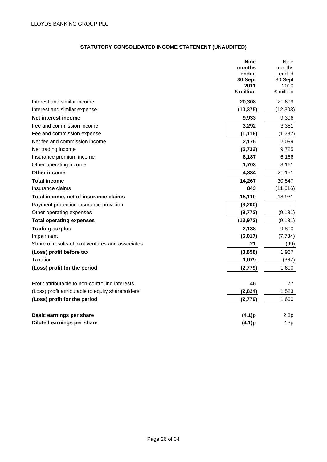# **STATUTORY CONSOLIDATED INCOME STATEMENT (UNAUDITED)**

|                                                   | <b>Nine</b><br>months<br>ended<br>30 Sept<br>2011<br>£ million | Nine<br>months<br>ended<br>30 Sept<br>2010<br>£ million |
|---------------------------------------------------|----------------------------------------------------------------|---------------------------------------------------------|
| Interest and similar income                       | 20,308                                                         | 21,699                                                  |
| Interest and similar expense                      | (10, 375)                                                      | (12, 303)                                               |
| Net interest income                               | 9,933                                                          | 9,396                                                   |
| Fee and commission income                         | 3,292                                                          | 3,381                                                   |
| Fee and commission expense                        | (1, 116)                                                       | (1,282)                                                 |
| Net fee and commission income                     | 2,176                                                          | 2,099                                                   |
| Net trading income                                | (5, 732)                                                       | 9,725                                                   |
| Insurance premium income                          | 6,187                                                          | 6,166                                                   |
| Other operating income                            | 1,703                                                          | 3,161                                                   |
| Other income                                      | 4,334                                                          | 21,151                                                  |
| <b>Total income</b>                               | 14,267                                                         | 30,547                                                  |
| Insurance claims                                  | 843                                                            | (11, 616)                                               |
| Total income, net of insurance claims             | 15,110                                                         | 18,931                                                  |
| Payment protection insurance provision            | (3, 200)                                                       |                                                         |
| Other operating expenses                          | (9, 772)                                                       | (9, 131)                                                |
| <b>Total operating expenses</b>                   | (12, 972)                                                      | (9, 131)                                                |
| <b>Trading surplus</b>                            | 2,138                                                          | 9,800                                                   |
| Impairment                                        | (6,017)                                                        | (7, 734)                                                |
| Share of results of joint ventures and associates | 21                                                             | (99)                                                    |
| (Loss) profit before tax                          | (3,858)                                                        | 1,967                                                   |
| Taxation                                          | 1,079                                                          | (367)                                                   |
| (Loss) profit for the period                      | (2,779)                                                        | 1,600                                                   |
| Profit attributable to non-controlling interests  | 45                                                             | 77                                                      |
| (Loss) profit attributable to equity shareholders | (2,824)                                                        | 1,523                                                   |
| (Loss) profit for the period                      | (2,779)                                                        | 1,600                                                   |
| <b>Basic earnings per share</b>                   | (4.1)p                                                         | 2.3p                                                    |
| Diluted earnings per share                        | (4.1)p                                                         | 2.3p                                                    |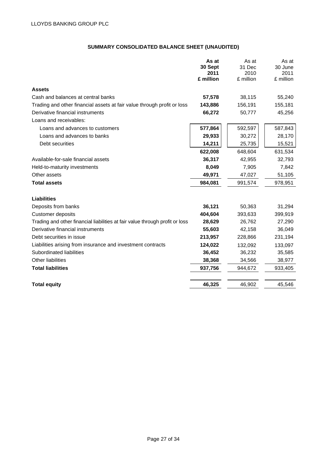# **SUMMARY CONSOLIDATED BALANCE SHEET (UNAUDITED)**

|                                                                              | As at           | As at          | As at           |
|------------------------------------------------------------------------------|-----------------|----------------|-----------------|
|                                                                              | 30 Sept<br>2011 | 31 Dec<br>2010 | 30 June<br>2011 |
|                                                                              | £ million       | £ million      | £ million       |
| <b>Assets</b>                                                                |                 |                |                 |
| Cash and balances at central banks                                           | 57,578          | 38,115         | 55,240          |
| Trading and other financial assets at fair value through profit or loss      | 143,886         | 156,191        | 155,181         |
| Derivative financial instruments                                             | 66,272          | 50,777         | 45,256          |
| Loans and receivables:                                                       |                 |                |                 |
| Loans and advances to customers                                              | 577,864         | 592,597        | 587,843         |
| Loans and advances to banks                                                  | 29,933          | 30,272         | 28,170          |
| Debt securities                                                              | 14,211          | 25,735         | 15,521          |
|                                                                              | 622,008         | 648,604        | 631,534         |
| Available-for-sale financial assets                                          | 36,317          | 42,955         | 32,793          |
| Held-to-maturity investments                                                 | 8,049           | 7,905          | 7,842           |
| Other assets                                                                 | 49,971          | 47,027         | 51,105          |
| <b>Total assets</b>                                                          | 984,081         | 991,574        | 978,951         |
| Liabilities                                                                  |                 |                |                 |
| Deposits from banks                                                          | 36,121          | 50,363         | 31,294          |
| Customer deposits                                                            | 404,604         | 393,633        | 399,919         |
| Trading and other financial liabilities at fair value through profit or loss | 28,629          | 26,762         | 27,290          |
| Derivative financial instruments                                             | 55,603          | 42,158         | 36,049          |
| Debt securities in issue                                                     | 213,957         | 228,866        | 231,194         |
| Liabilities arising from insurance and investment contracts                  | 124,022         | 132,092        | 133,097         |
| Subordinated liabilities                                                     | 36,452          | 36,232         | 35,585          |
| <b>Other liabilities</b>                                                     | 38,368          | 34,566         | 38,977          |
| <b>Total liabilities</b>                                                     | 937,756         | 944,672        | 933,405         |
| <b>Total equity</b>                                                          | 46,325          | 46,902         | 45,546          |
|                                                                              |                 |                |                 |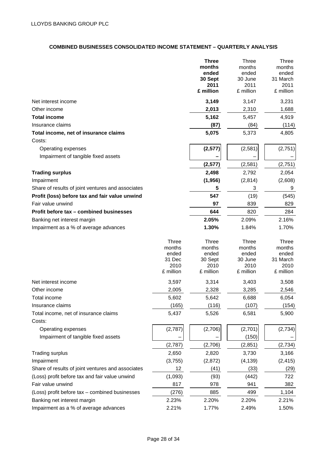# **COMBINED BUSINESSES CONSOLIDATED INCOME STATEMENT – QUARTERLY ANALYSIS**

|                                                   |                                 | <b>Three</b><br>months<br>ended<br>30 Sept<br>2011<br>£ million | <b>Three</b><br>months<br>ended<br>30 June<br>2011<br>£ million | Three<br>months<br>ended<br>31 March<br>2011<br>£ million |
|---------------------------------------------------|---------------------------------|-----------------------------------------------------------------|-----------------------------------------------------------------|-----------------------------------------------------------|
|                                                   |                                 |                                                                 |                                                                 |                                                           |
| Net interest income                               |                                 | 3,149                                                           | 3,147                                                           | 3,231                                                     |
| Other income                                      |                                 | 2,013                                                           | 2,310                                                           | 1,688                                                     |
| <b>Total income</b>                               |                                 | 5,162                                                           | 5,457                                                           | 4,919                                                     |
| Insurance claims                                  |                                 | (87)                                                            | (84)                                                            | (114)                                                     |
| Total income, net of insurance claims             |                                 | 5,075                                                           | 5,373                                                           | 4,805                                                     |
| Costs:                                            |                                 |                                                                 |                                                                 |                                                           |
| Operating expenses                                |                                 | (2, 577)                                                        | (2,581)                                                         | (2,751)                                                   |
| Impairment of tangible fixed assets               |                                 |                                                                 |                                                                 |                                                           |
|                                                   |                                 | (2,577)                                                         | (2,581)                                                         | (2,751)                                                   |
| <b>Trading surplus</b>                            |                                 | 2,498                                                           | 2,792                                                           | 2,054                                                     |
| Impairment                                        |                                 | (1, 956)                                                        | (2,814)                                                         | (2,608)                                                   |
| Share of results of joint ventures and associates |                                 | 5                                                               | 3                                                               | 9                                                         |
| Profit (loss) before tax and fair value unwind    |                                 | 547                                                             | (19)                                                            | (545)                                                     |
| Fair value unwind                                 |                                 | 97                                                              | 839                                                             | 829                                                       |
| Profit before tax - combined businesses           |                                 | 644                                                             | 820                                                             | 284                                                       |
| Banking net interest margin                       |                                 | 2.05%                                                           | 2.09%                                                           | 2.16%                                                     |
| Impairment as a % of average advances             |                                 | 1.30%                                                           | 1.84%                                                           | 1.70%                                                     |
|                                                   | <b>Three</b><br>months<br>ended | <b>Three</b><br>months<br>ended                                 | <b>Three</b><br>months<br>ended                                 | <b>Three</b><br>months<br>ended                           |
|                                                   | 31 Dec                          | 30 Sept                                                         | 30 June                                                         | 31 March                                                  |
|                                                   | 2010                            | 2010                                                            | 2010                                                            | 2010                                                      |
|                                                   | £ million                       | £ million                                                       | £ million                                                       | £ million                                                 |
| Net interest income                               | 3,597                           | 3,314                                                           | 3,403                                                           | 3,508                                                     |
| Other income                                      | 2,005                           | 2,328                                                           | 3,285                                                           | 2,546                                                     |
| Total income                                      | 5,602                           | 5,642                                                           | 6,688                                                           | 6,054                                                     |
| Insurance claims                                  | (165)                           | (116)                                                           | (107)                                                           | (154)                                                     |
| Total income, net of insurance claims<br>Costs:   | 5,437                           | 5,526                                                           | 6,581                                                           | 5,900                                                     |
| Operating expenses                                | (2,787)                         | (2,706)                                                         | (2,701)                                                         | (2,734)                                                   |
| Impairment of tangible fixed assets               |                                 |                                                                 | (150)                                                           |                                                           |
|                                                   | (2,787)                         | (2,706)                                                         | (2, 851)                                                        | (2, 734)                                                  |
| <b>Trading surplus</b>                            | 2,650                           | 2,820                                                           | 3,730                                                           | 3,166                                                     |
| Impairment                                        | (3,755)                         | (2,872)                                                         | (4, 139)                                                        | (2, 415)                                                  |
| Share of results of joint ventures and associates | 12                              | (41)                                                            | (33)                                                            | (29)                                                      |
| (Loss) profit before tax and fair value unwind    | (1,093)                         | (93)                                                            | (442)                                                           | 722                                                       |
| Fair value unwind                                 | 817                             | 978                                                             | 941                                                             | 382                                                       |
| (Loss) profit before tax - combined businesses    | (276)                           | 885                                                             | 499                                                             | 1,104                                                     |
| Banking net interest margin                       | 2.23%                           | 2.20%                                                           | 2.20%                                                           | 2.21%                                                     |
| Impairment as a % of average advances             | 2.21%                           | 1.77%                                                           | 2.49%                                                           | 1.50%                                                     |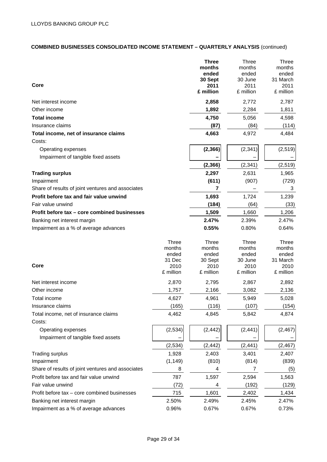# **COMBINED BUSINESSES CONSOLIDATED INCOME STATEMENT – QUARTERLY ANALYSIS** (continued)

| Core                                              |                 | <b>Three</b><br>months<br>ended<br>30 Sept<br>2011<br>£ million | <b>Three</b><br>months<br>ended<br>30 June<br>2011<br>£ million | <b>Three</b><br>months<br>ended<br>31 March<br>2011<br>£ million |
|---------------------------------------------------|-----------------|-----------------------------------------------------------------|-----------------------------------------------------------------|------------------------------------------------------------------|
| Net interest income                               |                 | 2,858                                                           | 2,772                                                           | 2,787                                                            |
| Other income                                      |                 | 1,892                                                           | 2,284                                                           | 1,811                                                            |
|                                                   |                 |                                                                 | 5,056                                                           |                                                                  |
| <b>Total income</b>                               |                 | 4,750                                                           |                                                                 | 4,598                                                            |
| Insurance claims                                  |                 | (87)                                                            | (84)                                                            | (114)                                                            |
| Total income, net of insurance claims             |                 | 4,663                                                           | 4,972                                                           | 4,484                                                            |
| Costs:                                            |                 |                                                                 |                                                                 |                                                                  |
| Operating expenses                                |                 | (2, 366)                                                        | (2, 341)                                                        | (2, 519)                                                         |
| Impairment of tangible fixed assets               |                 |                                                                 |                                                                 |                                                                  |
|                                                   |                 | (2, 366)                                                        | (2, 341)                                                        | (2, 519)                                                         |
| <b>Trading surplus</b>                            |                 | 2,297                                                           | 2,631                                                           | 1,965                                                            |
| Impairment                                        |                 | (611)                                                           | (907)                                                           | (729)                                                            |
| Share of results of joint ventures and associates |                 | 7                                                               |                                                                 | 3                                                                |
| Profit before tax and fair value unwind           |                 | 1,693                                                           | 1,724                                                           | 1,239                                                            |
| Fair value unwind                                 |                 | (184)                                                           | (64)                                                            | (33)                                                             |
| Profit before tax - core combined businesses      |                 | 1,509                                                           | 1,660                                                           | 1,206                                                            |
| Banking net interest margin                       |                 | 2.47%                                                           | 2.39%                                                           | 2.47%                                                            |
| Impairment as a % of average advances             |                 | 0.55%                                                           | 0.80%                                                           | 0.64%                                                            |
|                                                   | Three           | <b>Three</b>                                                    | <b>Three</b>                                                    | <b>Three</b>                                                     |
|                                                   | months<br>ended | months<br>ended                                                 | months<br>ended                                                 | months<br>ended                                                  |
|                                                   | 31 Dec          | 30 Sept                                                         | 30 June                                                         | 31 March                                                         |
| Core                                              | 2010            | 2010                                                            | 2010                                                            | 2010                                                             |
|                                                   | £ million       | £ million                                                       | £ million                                                       | £ million                                                        |
| Net interest income                               | 2,870           | 2,795                                                           | 2,867                                                           | 2,892                                                            |
| Other income                                      | 1,757           | 2,166                                                           | 3,082                                                           | 2,136                                                            |
| <b>Total income</b>                               | 4,627           | 4,961                                                           | 5,949                                                           | 5,028                                                            |
| Insurance claims                                  | (165)           | (116)                                                           | (107)                                                           | (154)                                                            |
| Total income, net of insurance claims<br>Costs:   | 4,462           | 4,845                                                           | 5,842                                                           | 4,874                                                            |
| Operating expenses                                | (2, 534)        | (2, 442)                                                        | (2, 441)                                                        | (2, 467)                                                         |
| Impairment of tangible fixed assets               |                 |                                                                 |                                                                 |                                                                  |
|                                                   | (2, 534)        | (2, 442)                                                        | (2, 441)                                                        | (2, 467)                                                         |
| <b>Trading surplus</b>                            | 1,928           | 2,403                                                           | 3,401                                                           | 2,407                                                            |
| Impairment                                        | (1, 149)        | (810)                                                           | (814)                                                           | (839)                                                            |
| Share of results of joint ventures and associates | 8               | 4                                                               | 7                                                               | (5)                                                              |
| Profit before tax and fair value unwind           | 787             | 1,597                                                           | 2,594                                                           | 1,563                                                            |
| Fair value unwind                                 | (72)            | 4                                                               | (192)                                                           | (129)                                                            |
|                                                   | 715             |                                                                 |                                                                 |                                                                  |
| Profit before tax - core combined businesses      |                 | 1,601                                                           | 2,402                                                           | 1,434                                                            |
| Banking net interest margin                       | 2.50%           | 2.49%                                                           | 2.45%                                                           | 2.47%                                                            |
| Impairment as a % of average advances             | 0.96%           | 0.67%                                                           | 0.67%                                                           | 0.73%                                                            |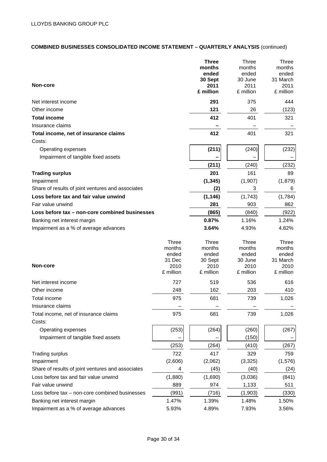# **COMBINED BUSINESSES CONSOLIDATED INCOME STATEMENT – QUARTERLY ANALYSIS** (continued)

| Non-core                                                   |                 | <b>Three</b><br>months<br>ended<br>30 Sept<br>2011 | <b>Three</b><br>months<br>ended<br>30 June<br>2011 | <b>Three</b><br>months<br>ended<br>31 March<br>2011 |
|------------------------------------------------------------|-----------------|----------------------------------------------------|----------------------------------------------------|-----------------------------------------------------|
|                                                            |                 | £ million                                          | £ million                                          | £ million                                           |
| Net interest income                                        |                 | 291                                                | 375                                                | 444                                                 |
| Other income                                               |                 | 121                                                | 26                                                 | (123)                                               |
| <b>Total income</b>                                        |                 | 412                                                | 401                                                | 321                                                 |
| Insurance claims                                           |                 |                                                    |                                                    |                                                     |
| Total income, net of insurance claims                      |                 | 412                                                | 401                                                | 321                                                 |
| Costs:                                                     |                 |                                                    |                                                    |                                                     |
| Operating expenses                                         |                 | (211)                                              | (240)                                              | (232)                                               |
| Impairment of tangible fixed assets                        |                 |                                                    |                                                    |                                                     |
|                                                            |                 | (211)                                              | (240)                                              | (232)                                               |
| <b>Trading surplus</b>                                     |                 | 201                                                | 161                                                | 89                                                  |
| Impairment                                                 |                 | (1, 345)                                           | (1,907)                                            | (1,879)                                             |
| Share of results of joint ventures and associates          |                 | (2)                                                | 3                                                  | 6                                                   |
| Loss before tax and fair value unwind                      |                 | (1, 146)                                           | (1,743)                                            | (1,784)                                             |
| Fair value unwind                                          |                 | 281                                                | 903                                                | 862                                                 |
| Loss before tax - non-core combined businesses             |                 | (865)                                              | (840)                                              | (922)                                               |
| Banking net interest margin                                |                 | 0.87%                                              | 1.16%                                              | 1.24%                                               |
| Impairment as a % of average advances                      |                 | 3.64%                                              | 4.93%                                              | 4.82%                                               |
|                                                            | <b>Three</b>    | Three                                              | <b>Three</b>                                       | <b>Three</b>                                        |
|                                                            | months          | months                                             | months                                             | months                                              |
|                                                            | ended<br>31 Dec | ended<br>30 Sept                                   | ended<br>30 June                                   | ended<br>31 March                                   |
| Non-core                                                   | 2010            | 2010                                               | 2010                                               | 2010                                                |
|                                                            | £ million       | £ million                                          | £ million                                          | £ million                                           |
| Net interest income                                        | 727             | 519                                                | 536                                                | 616                                                 |
| Other income                                               | 248             | 162                                                | 203                                                | 410                                                 |
| Total income                                               | 975             | 681                                                | 739                                                | 1,026                                               |
| Insurance claims                                           |                 |                                                    |                                                    |                                                     |
| Total income, net of insurance claims<br>Costs:            | 975             | 681                                                | 739                                                | 1,026                                               |
|                                                            |                 |                                                    |                                                    |                                                     |
| Operating expenses<br>Impairment of tangible fixed assets  | (253)           | (264)                                              | (260)                                              | (267)                                               |
|                                                            |                 |                                                    | (150)                                              |                                                     |
|                                                            | (253)<br>722    | (264)<br>417                                       | (410)<br>329                                       | (267)<br>759                                        |
| <b>Trading surplus</b><br>Impairment                       |                 |                                                    |                                                    |                                                     |
| Share of results of joint ventures and associates          | (2,606)         | (2,062)                                            | (3, 325)                                           | (1, 576)                                            |
|                                                            | 4               | (45)                                               | (40)                                               | (24)                                                |
| Loss before tax and fair value unwind<br>Fair value unwind | (1,880)<br>889  | (1,690)<br>974                                     | (3,036)                                            | (841)<br>511                                        |
|                                                            |                 |                                                    | 1,133                                              |                                                     |
| Loss before tax – non-core combined businesses             | (991)           | (716)                                              | (1,903)                                            | (330)                                               |
| Banking net interest margin                                | 1.47%           | 1.39%                                              | 1.48%                                              | 1.50%                                               |
| Impairment as a % of average advances                      | 5.93%           | 4.89%                                              | 7.93%                                              | 3.56%                                               |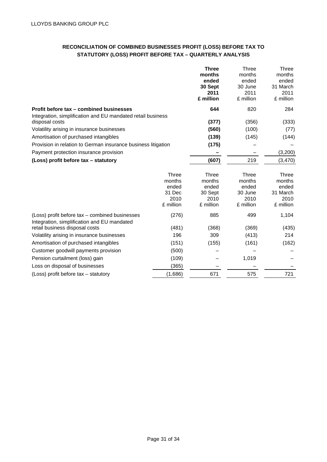# **RECONCILIATION OF COMBINED BUSINESSES PROFIT (LOSS) BEFORE TAX TO STATUTORY (LOSS) PROFIT BEFORE TAX – QUARTERLY ANALYSIS**

|                                                               |           | <b>Three</b> | Three        | <b>Three</b> |
|---------------------------------------------------------------|-----------|--------------|--------------|--------------|
|                                                               |           | months       | months       | months       |
|                                                               |           | ended        | ended        | ended        |
|                                                               |           | 30 Sept      | 30 June      | 31 March     |
|                                                               |           | 2011         | 2011         | 2011         |
|                                                               |           | £ million    | £ million    | £ million    |
| Profit before tax – combined businesses                       |           | 644          | 820          | 284          |
| Integration, simplification and EU mandated retail business   |           |              |              |              |
| disposal costs                                                |           | (377)        | (356)        | (333)        |
| Volatility arising in insurance businesses                    |           | (560)        | (100)        | (77)         |
| Amortisation of purchased intangibles                         |           | (139)        | (145)        | (144)        |
| Provision in relation to German insurance business litigation |           | (175)        |              |              |
| Payment protection insurance provision                        |           |              |              | (3,200)      |
| (Loss) profit before tax - statutory                          |           | (607)        | 219          | (3, 470)     |
|                                                               |           |              |              |              |
|                                                               | Three     | Three        | <b>Three</b> | Three        |
|                                                               | months    | months       | months       | months       |
|                                                               | ended     | ended        | ended        | ended        |
|                                                               | 31 Dec    | 30 Sept      | 30 June      | 31 March     |
|                                                               | 2010      | 2010         | 2010         | 2010         |
|                                                               | £ million | £ million    | £ million    | £ million    |
| (Loss) profit before tax – combined businesses                | (276)     | 885          | 499          | 1,104        |
| Integration, simplification and EU mandated                   |           |              |              |              |
| retail business disposal costs                                | (481)     | (368)        | (369)        | (435)        |
| Volatility arising in insurance businesses                    | 196       | 309          | (413)        | 214          |
| Amortisation of purchased intangibles                         | (151)     | (155)        | (161)        | (162)        |
| Customer goodwill payments provision                          | (500)     |              |              |              |
| Pension curtailment (loss) gain                               | (109)     |              | 1,019        |              |
| Loss on disposal of businesses                                | (365)     |              |              |              |
| (Loss) profit before tax – statutory                          | (1,686)   | 671          | 575          | 721          |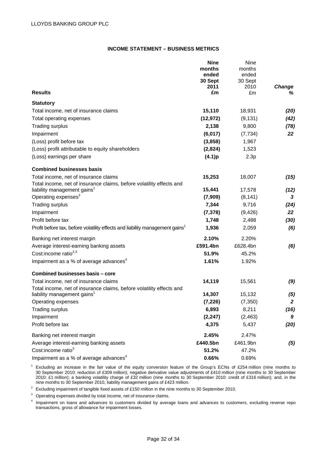# **INCOME STATEMENT – BUSINESS METRICS**

|                                                                                          | <b>Nine</b>     | Nine            |                  |
|------------------------------------------------------------------------------------------|-----------------|-----------------|------------------|
|                                                                                          | months<br>ended | months<br>ended |                  |
|                                                                                          | 30 Sept         | 30 Sept         |                  |
|                                                                                          | 2011            | 2010            | Change           |
| <b>Results</b>                                                                           | £m              | £m              | ℅                |
| <b>Statutory</b>                                                                         |                 |                 |                  |
| Total income, net of insurance claims                                                    | 15,110          | 18,931          | (20)             |
| Total operating expenses                                                                 | (12, 972)       | (9, 131)        | (42)             |
| <b>Trading surplus</b>                                                                   | 2,138           | 9,800           | (78)             |
| Impairment                                                                               | (6, 017)        | (7, 734)        | 22               |
| (Loss) profit before tax                                                                 | (3,858)         | 1,967           |                  |
| (Loss) profit attributable to equity shareholders                                        | (2,824)         | 1,523           |                  |
| (Loss) earnings per share                                                                | (4.1)p          | 2.3p            |                  |
| <b>Combined businesses basis</b>                                                         |                 |                 |                  |
| Total income, net of insurance claims                                                    | 15,253          | 18,007          | (15)             |
| Total income, net of insurance claims, before volatility effects and                     |                 |                 |                  |
| liability management gains <sup>1</sup>                                                  | 15,441          | 17,578          | (12)             |
| Operating expenses <sup>2</sup>                                                          | (7,909)         | (8, 141)        | 3                |
| <b>Trading surplus</b>                                                                   | 7,344           | 9,716           | (24)             |
| Impairment                                                                               | (7, 378)        | (9, 426)        | 22               |
| Profit before tax                                                                        | 1,748           | 2,488           | (30)             |
| Profit before tax, before volatility effects and liability management gains <sup>1</sup> | 1,936           | 2,059           | (6)              |
| Banking net interest margin                                                              | 2.10%           | 2.20%           |                  |
| Average interest-earning banking assets                                                  | £591.4bn        | £628.4bn        | (6)              |
| Cost:income ratio <sup>2,3</sup>                                                         | 51.9%           | 45.2%           |                  |
| Impairment as a % of average advances <sup>4</sup>                                       | 1.61%           | 1.92%           |                  |
| Combined businesses basis - core                                                         |                 |                 |                  |
| Total income, net of insurance claims                                                    | 14,119          | 15,561          | (9)              |
| Total income, net of insurance claims, before volatility effects and                     |                 |                 |                  |
| liability management gains <sup>1</sup>                                                  | 14,307          | 15,132          | (5)              |
| Operating expenses                                                                       | (7, 226)        | (7, 350)        | $\boldsymbol{2}$ |
| <b>Trading surplus</b>                                                                   | 6,893           | 8,211           | (16)             |
| Impairment                                                                               | (2, 247)        | (2, 463)        | 9                |
| Profit before tax                                                                        | 4,375           | 5,437           | (20)             |
| Banking net interest margin                                                              | 2.45%           | 2.47%           |                  |
| Average interest-earning banking assets                                                  | £440.5bn        | £461.9bn        | (5)              |
| Cost:income ratio <sup>3</sup>                                                           | 51.2%           | 47.2%           |                  |
| Impairment as a % of average advances <sup>4</sup>                                       | 0.66%           | 0.69%           |                  |

 $1$  Excluding an increase in the fair value of the equity conversion feature of the Group's ECNs of £254 million (nine months to 30 September 2010: reduction of £309 million); negative derivative value adjustments of £410 million (nine months to 30 September 2010: £1 million); a banking volatility charge of £32 million (nine months to 30 September 2010: credit of £316 million); and, in the nine months to 30 September 2010, liability management gains of £423 million.

<sup>2</sup> Excluding impairment of tangible fixed assets of £150 million in the nine months to 30 September 2010.

<sup>3</sup> Operating expenses divided by total income, net of insurance claims.

<sup>4</sup> Impairment on loans and advances to customers divided by average loans and advances to customers, excluding reverse repo transactions, gross of allowance for impairment losses.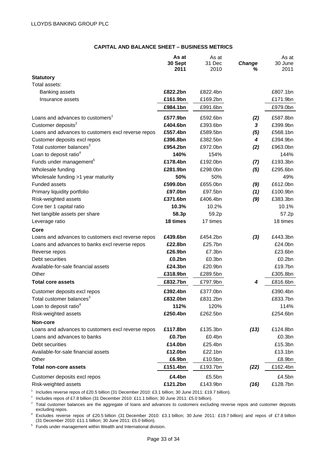# **CAPITAL AND BALANCE SHEET – BUSINESS METRICS**

|                                                    | As at<br>30 Sept<br>2011 | As at<br>31 Dec<br>2010 | Change<br>℅ | As at<br>30 June<br>2011 |
|----------------------------------------------------|--------------------------|-------------------------|-------------|--------------------------|
| <b>Statutory</b>                                   |                          |                         |             |                          |
| Total assets:                                      |                          |                         |             |                          |
| Banking assets                                     | £822.2bn                 | £822.4bn                |             | £807.1bn                 |
| Insurance assets                                   | £161.9bn                 | £169.2bn                |             | £171.9bn                 |
|                                                    | £984.1bn                 | £991.6bn                |             | £979.0bn                 |
| Loans and advances to customers <sup>1</sup>       | £577.9bn                 | £592.6bn                | (2)         | £587.8bn                 |
| Customer deposits <sup>2</sup>                     | £404.6bn                 | £393.6bn                | 3           | £399.9bn                 |
| Loans and advances to customers excl reverse repos | £557.4bn                 | £589.5bn                | (5)         | £568.1bn                 |
| Customer deposits excl repos                       | £396.8bn                 | £382.5bn                | 4           | £394.9bn                 |
| Total customer balances <sup>3</sup>               | £954.2bn                 | £972.0bn                | (2)         | £963.0bn                 |
| Loan to deposit ratio <sup>4</sup>                 | 140%                     | 154%                    |             | 144%                     |
| Funds under management <sup>5</sup>                | £178.4bn                 | £192.0bn                | (7)         | £193.3bn                 |
| Wholesale funding                                  | £281.9bn                 | £298.0bn                | (5)         | £295.6bn                 |
| Wholesale funding >1 year maturity                 | 50%                      | 50%                     |             | 49%                      |
| <b>Funded assets</b>                               | £599.0bn                 | £655.0bn                | (9)         | £612.0bn                 |
| Primary liquidity portfolio                        | £97.0bn                  | £97.5bn                 | (1)         | £100.9bn                 |
| Risk-weighted assets                               | £371.6bn                 | £406.4bn                | (9)         | £383.3bn                 |
| Core tier 1 capital ratio                          | 10.3%                    | 10.2%                   |             | 10.1%                    |
| Net tangible assets per share                      | 58.3p                    | 59.2p                   |             | 57.2p                    |
| Leverage ratio                                     | 18 times                 | 17 times                |             | 18 times                 |
| Core                                               |                          |                         |             |                          |
| Loans and advances to customers excl reverse repos | £439.6bn                 | £454.2bn                | (3)         | £443.3bn                 |
| Loans and advances to banks excl reverse repos     | £22.8bn                  | £25.7bn                 |             | £24.0bn                  |
| Reverse repos                                      | £26.9bn                  | £7.3bn                  |             | £23.6bn                  |
| Debt securities                                    | £0.2bn                   | £0.3bn                  |             | £0.2bn                   |
| Available-for-sale financial assets                | £24.3bn                  | £20.9bn                 |             | £19.7bn                  |
| Other                                              | £318.9bn                 | £289.5bn                |             | £305.8bn                 |
| <b>Total core assets</b>                           | £832.7bn                 | £797.9bn                | 4           | £816.6bn                 |
| Customer deposits excl repos                       | £392.4bn                 | £377.0bn                |             | £390.4bn                 |
| Total customer balances <sup>3</sup>               | £832.0bn                 | £831.2bn                |             | £833.7bn                 |
| Loan to deposit ratio <sup>4</sup>                 | 112%                     | 120%                    |             | 114%                     |
| Risk-weighted assets                               | £250.4bn                 | £262.5bn                |             | £254.6bn                 |
| Non-core                                           |                          |                         |             |                          |
| Loans and advances to customers excl reverse repos | £117.8bn                 | £135.3bn                | (13)        | £124.8bn                 |
| Loans and advances to banks                        | £0.7bn                   | £0.4bn                  |             | £0.3bn                   |
| Debt securities                                    | £14.0bn                  | £25.4bn                 |             | £15.3bn                  |
| Available-for-sale financial assets                | £12.0bn                  | £22.1bn                 |             | £13.1bn                  |
| Other                                              | £6.9bn                   | £10.5bn                 |             | £8.9bn                   |
| <b>Total non-core assets</b>                       | £151.4bn                 | £193.7bn                | (22)        | £162.4bn                 |
| Customer deposits excl repos                       | £4.4bn                   | £5.5bn                  |             | £4.5bn                   |
| Risk-weighted assets                               | £121.2bn                 | £143.9bn                | (16)        | £128.7bn                 |

<sup>1</sup> Includes reverse repos of £20.5 billion (31 December 2010: £3.1 billion; 30 June 2011: £19.7 billion).<br><sup>2</sup> Includes repos of £7.8 billion (31 December 2010: £11.1 billion; 30 June 2011: £5.0 billion).<br><sup>3</sup> Total custom

excluding repos.<br>4 Excludes reverse repos of £20.5 billion (31 December 2010: £3.1 billion; 30 June 2011: £19.7 billion) and repos of £7.8 billion<br>(31 December 2010: £11.1 billion; 30 June 2011: £5.0 billion).

 $5\text{ }$  Funds under management within Wealth and International division.